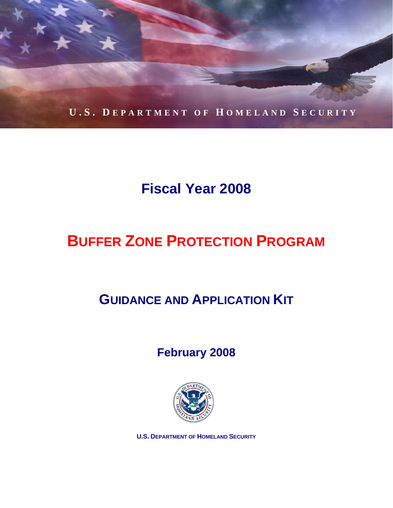

# **Fiscal Year 2008**

# **BUFFER ZONE PROTECTION PROGRAM**

# **GUIDANCE AND APPLICATION KIT**

## **February 2008**



**U.S. DEPARTMENT OF HOMELAND SECURITY**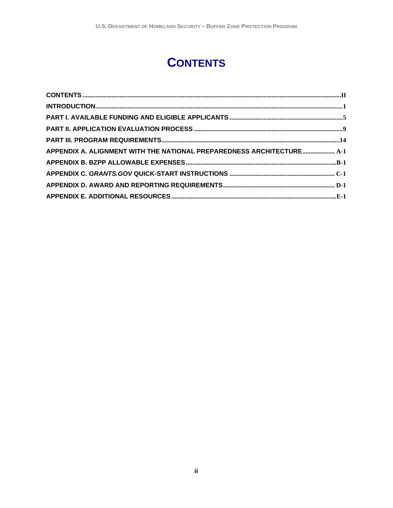## **CONTENTS**

| APPENDIX A. ALIGNMENT WITH THE NATIONAL PREPAREDNESS ARCHITECTURE A-1 |
|-----------------------------------------------------------------------|
|                                                                       |
|                                                                       |
|                                                                       |
|                                                                       |
|                                                                       |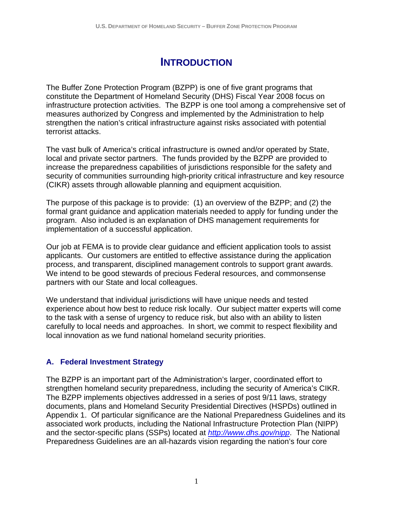## **INTRODUCTION**

<span id="page-2-0"></span>The Buffer Zone Protection Program (BZPP) is one of five grant programs that constitute the Department of Homeland Security (DHS) Fiscal Year 2008 focus on infrastructure protection activities. The BZPP is one tool among a comprehensive set of measures authorized by Congress and implemented by the Administration to help strengthen the nation's critical infrastructure against risks associated with potential terrorist attacks.

The vast bulk of America's critical infrastructure is owned and/or operated by State, local and private sector partners. The funds provided by the BZPP are provided to increase the preparedness capabilities of jurisdictions responsible for the safety and security of communities surrounding high-priority critical infrastructure and key resource (CIKR) assets through allowable planning and equipment acquisition.

The purpose of this package is to provide: (1) an overview of the BZPP; and (2) the formal grant guidance and application materials needed to apply for funding under the program. Also included is an explanation of DHS management requirements for implementation of a successful application.

partners with our State and local colleagues. Our job at FEMA is to provide clear guidance and efficient application tools to assist applicants. Our customers are entitled to effective assistance during the application process, and transparent, disciplined management controls to support grant awards. We intend to be good stewards of precious Federal resources, and commonsense

We understand that individual jurisdictions will have unique needs and tested experience about how best to reduce risk locally. Our subject matter experts will come to the task with a sense of urgency to reduce risk, but also with an ability to listen carefully to local needs and approaches. In short, we commit to respect flexibility and local innovation as we fund national homeland security priorities.

#### **A. Federal Investment Strategy**

The BZPP is an important part of the Administration's larger, coordinated effort to strengthen homeland security preparedness, including the security of America's CIKR. The BZPP implements objectives addressed in a series of post 9/11 laws, strategy documents, plans and Homeland Security Presidential Directives (HSPDs) outlined in Appendix 1. Of particular significance are the National Preparedness Guidelines and its associated work products, including the National Infrastructure Protection Plan (NIPP) and the sector-specific plans (SSPs) located at *http://www.dhs.gov/nipp*. The National Preparedness Guidelines are an all-hazards vision regarding the nation's four core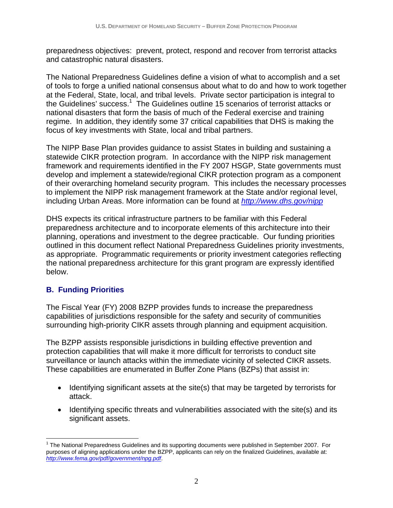preparedness objectives: prevent, protect, respond and recover from terrorist attacks and catastrophic natural disasters.

The National Preparedness Guidelines define a vision of what to accomplish and a set of tools to forge a unified national consensus about what to do and how to work together at the Federal, State, local, and tribal levels. Private sector participation is integral to the Guidelines' success.<sup>1</sup> The Guidelines outline 15 scenarios of terrorist attacks or national disasters that form the basis of much of the Federal exercise and training regime. In addition, they identify some 37 critical capabilities that DHS is making the focus of key investments with State, local and tribal partners.

The NIPP Base Plan provides guidance to assist States in building and sustaining a statewide CIKR protection program. In accordance with the NIPP risk management framework and requirements identified in the FY 2007 HSGP, State governments must develop and implement a statewide/regional CIKR protection program as a component of their overarching homeland security program. This includes the necessary processes to implement the NIPP risk management framework at the State and/or regional level, including Urban Areas. More information can be found at *http://www.dhs.gov/nipp* 

DHS expects its critical infrastructure partners to be familiar with this Federal preparedness architecture and to incorporate elements of this architecture into their planning, operations and investment to the degree practicable. Our funding priorities outlined in this document reflect National Preparedness Guidelines priority investments, as appropriate. Programmatic requirements or priority investment categories reflecting the national preparedness architecture for this grant program are expressly identified below.

#### **B. Funding Priorities**

<u>.</u>

The Fiscal Year (FY) 2008 BZPP provides funds to increase the preparedness capabilities of jurisdictions responsible for the safety and security of communities surrounding high-priority CIKR assets through planning and equipment acquisition.

The BZPP assists responsible jurisdictions in building effective prevention and protection capabilities that will make it more difficult for terrorists to conduct site surveillance or launch attacks within the immediate vicinity of selected CIKR assets. These capabilities are enumerated in Buffer Zone Plans (BZPs) that assist in:

- Identifying significant assets at the site(s) that may be targeted by terrorists for attack.
- Identifying specific threats and vulnerabilities associated with the site(s) and its significant assets.

 $1$  The National Preparedness Guidelines and its supporting documents were published in September 2007. For purposes of aligning applications under the BZPP, applicants can rely on the finalized Guidelines, available at: *http://www.fema.gov/pdf/government/npg.pdf*.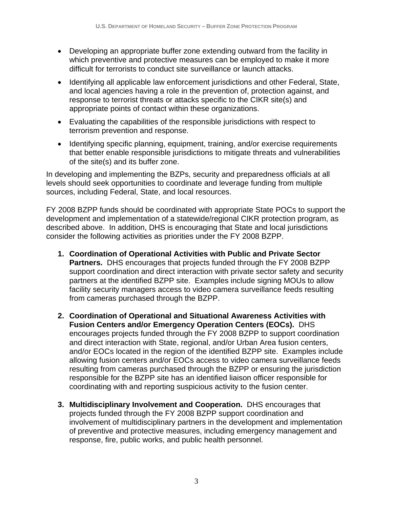- Developing an appropriate buffer zone extending outward from the facility in which preventive and protective measures can be employed to make it more difficult for terrorists to conduct site surveillance or launch attacks.
- Identifying all applicable law enforcement jurisdictions and other Federal, State, and local agencies having a role in the prevention of, protection against, and response to terrorist threats or attacks specific to the CIKR site(s) and appropriate points of contact within these organizations.
- Evaluating the capabilities of the responsible jurisdictions with respect to terrorism prevention and response.
- Identifying specific planning, equipment, training, and/or exercise requirements that better enable responsible jurisdictions to mitigate threats and vulnerabilities of the site(s) and its buffer zone.

In developing and implementing the BZPs, security and preparedness officials at all levels should seek opportunities to coordinate and leverage funding from multiple sources, including Federal, State, and local resources.

FY 2008 BZPP funds should be coordinated with appropriate State POCs to support the development and implementation of a statewide/regional CIKR protection program, as described above. In addition, DHS is encouraging that State and local jurisdictions consider the following activities as priorities under the FY 2008 BZPP.

- **1. Coordination of Operational Activities with Public and Private Sector Partners.** DHS encourages that projects funded through the FY 2008 BZPP support coordination and direct interaction with private sector safety and security partners at the identified BZPP site. Examples include signing MOUs to allow facility security managers access to video camera surveillance feeds resulting from cameras purchased through the BZPP.
- **2. Coordination of Operational and Situational Awareness Activities with Fusion Centers and/or Emergency Operation Centers (EOCs).** DHS encourages projects funded through the FY 2008 BZPP to support coordination and direct interaction with State, regional, and/or Urban Area fusion centers, and/or EOCs located in the region of the identified BZPP site. Examples include allowing fusion centers and/or EOCs access to video camera surveillance feeds resulting from cameras purchased through the BZPP or ensuring the jurisdiction responsible for the BZPP site has an identified liaison officer responsible for coordinating with and reporting suspicious activity to the fusion center.
- **3. Multidisciplinary Involvement and Cooperation.** DHS encourages that projects funded through the FY 2008 BZPP support coordination and involvement of multidisciplinary partners in the development and implementation of preventive and protective measures, including emergency management and response, fire, public works, and public health personnel.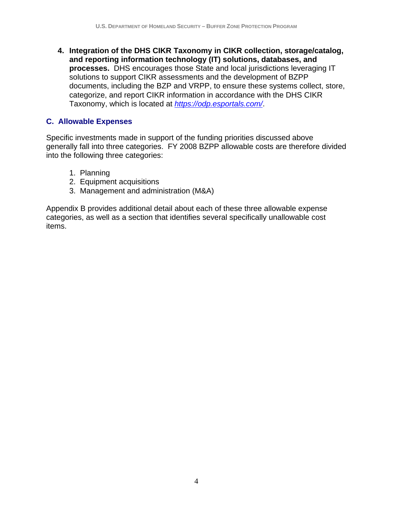**4. Integration of the DHS CIKR Taxonomy in CIKR collection, storage/catalog, and reporting information technology (IT) solutions, databases, and processes.** DHS encourages those State and local jurisdictions leveraging IT solutions to support CIKR assessments and the development of BZPP documents, including the BZP and VRPP, to ensure these systems collect, store, categorize, and report CIKR information in accordance with the DHS CIKR Taxonomy, which is located at *https://odp.esportals.com/*.

#### **C. Allowable Expenses**

Specific investments made in support of the funding priorities discussed above generally fall into three categories. FY 2008 BZPP allowable costs are therefore divided into the following three categories:

- 1. Planning
- 2. Equipment acquisitions
- 3. Management and administration (M&A)

Appendix B provides additional detail about each of these three allowable expense categories, as well as a section that identifies several specifically unallowable cost items.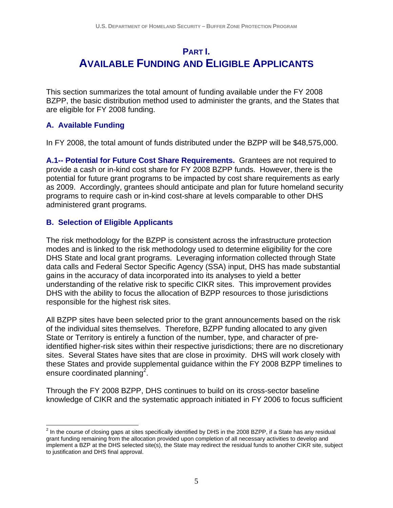### <span id="page-6-0"></span>**PART I. AVAILABLE FUNDING AND ELIGIBLE APPLICANTS**

This section summarizes the total amount of funding available under the FY 2008 BZPP, the basic distribution method used to administer the grants, and the States that are eligible for FY 2008 funding.

#### **A. Available Funding**

In FY 2008, the total amount of funds distributed under the BZPP will be \$48,575,000.

 **A.1-- Potential for Future Cost Share Requirements.** Grantees are not required to provide a cash or in-kind cost share for FY 2008 BZPP funds. However, there is the potential for future grant programs to be impacted by cost share requirements as early as 2009. Accordingly, grantees should anticipate and plan for future homeland security programs to require cash or in-kind cost-share at levels comparable to other DHS administered grant programs.

#### **B. Selection of Eligible Applicants**

The risk methodology for the BZPP is consistent across the infrastructure protection modes and is linked to the risk methodology used to determine eligibility for the core DHS State and local grant programs. Leveraging information collected through State data calls and Federal Sector Specific Agency (SSA) input, DHS has made substantial gains in the accuracy of data incorporated into its analyses to yield a better understanding of the relative risk to specific CIKR sites. This improvement provides DHS with the ability to focus the allocation of BZPP resources to those jurisdictions responsible for the highest risk sites.

All BZPP sites have been selected prior to the grant announcements based on the risk of the individual sites themselves. Therefore, BZPP funding allocated to any given State or Territory is entirely a function of the number, type, and character of preidentified higher-risk sites within their respective jurisdictions; there are no discretionary sites. Several States have sites that are close in proximity. DHS will work closely with these States and provide supplemental guidance within the FY 2008 BZPP timelines to ensure coordinated planning<sup>2</sup>.

Through the FY 2008 BZPP, DHS continues to build on its cross-sector baseline knowledge of CIKR and the systematic approach initiated in FY 2006 to focus sufficient

 $\overline{a}$  $^2$  In the course of closing gaps at sites specifically identified by DHS in the 2008 BZPP, if a State has any residual grant funding remaining from the allocation provided upon completion of all necessary activities to develop and implement a BZP at the DHS selected site(s), the State may redirect the residual funds to another CIKR site, subject to justification and DHS final approval.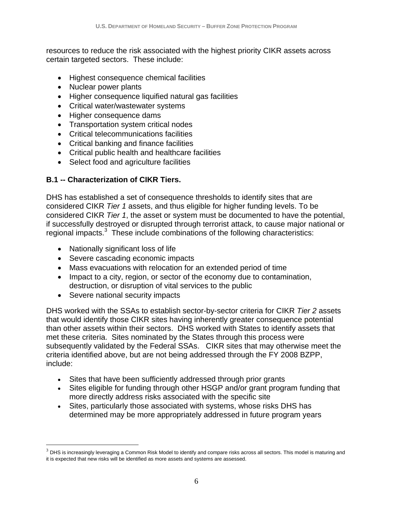resources to reduce the risk associated with the highest priority CIKR assets across certain targeted sectors. These include:

- • Highest consequence chemical facilities
- Nuclear power plants
- Higher consequence liquified natural gas facilities
- Critical water/wastewater systems
- Higher consequence dams
- Transportation system critical nodes
- • Critical telecommunications facilities
- • Critical banking and finance facilities
- Critical public health and healthcare facilities
- Select food and agriculture facilities

#### **B.1 -- Characterization of CIKR Tiers.**

DHS has established a set of consequence thresholds to identify sites that are considered CIKR *Tier 1* assets, and thus eligible for higher funding levels. To be considered CIKR *Tier 1*, the asset or system must be documented to have the potential, if successfully destroyed or disrupted through terrorist attack, to cause major national or regional impacts. $3$  These include combinations of the following characteristics:

- Nationally significant loss of life
- Severe cascading economic impacts
- Mass evacuations with relocation for an extended period of time
- Impact to a city, region, or sector of the economy due to contamination, destruction, or disruption of vital services to the public
- Severe national security impacts

 $\overline{a}$ 

DHS worked with the SSAs to establish sector-by-sector criteria for CIKR *Tier 2* assets that would identify those CIKR sites having inherently greater consequence potential than other assets within their sectors. DHS worked with States to identify assets that met these criteria. Sites nominated by the States through this process were subsequently validated by the Federal SSAs. CIKR sites that may otherwise meet the criteria identified above, but are not being addressed through the FY 2008 BZPP, include:

- Sites that have been sufficiently addressed through prior grants
- more directly address risks associated with the specific site • Sites eligible for funding through other HSGP and/or grant program funding that
- determined may be more appropriately addressed in future program years • Sites, particularly those associated with systems, whose risks DHS has

 $3$  DHS is increasingly leveraging a Common Risk Model to identify and compare risks across all sectors. This model is maturing and it is expected that new risks will be identified as more assets and systems are assessed.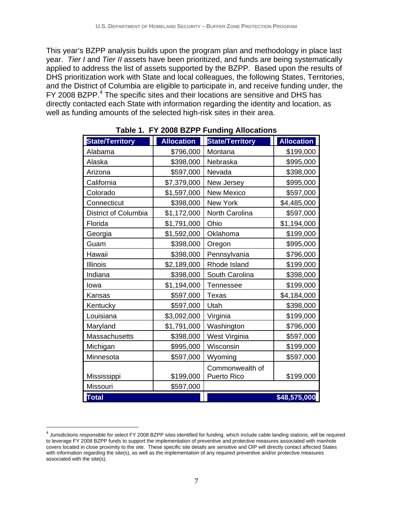This year's BZPP analysis builds upon the program plan and methodology in place last year. *Tier I* and *Tier II* assets have been prioritized, and funds are being systematically applied to address the list of assets supported by the BZPP. Based upon the results of DHS prioritization work with State and local colleagues, the following States, Territories, and the District of Columbia are eligible to participate in, and receive funding under, the FY 2008 BZPP. $<sup>4</sup>$  The specific sites and their locations are sensitive and DHS has</sup> directly contacted each State with information regarding the identity and location, as well as funding amounts of the selected high-risk sites in their area.

| <b>State/Territory</b>      | <b>Allocation</b> | <b>State/Territory</b>                | <b>Allocation</b> |
|-----------------------------|-------------------|---------------------------------------|-------------------|
| Alabama                     | \$796,000         | Montana                               | \$199,000         |
| Alaska                      | \$398,000         | Nebraska                              | \$995,000         |
| Arizona                     | \$597,000         | Nevada                                | \$398,000         |
| California                  | \$7,379,000       | New Jersey                            | \$995,000         |
| Colorado                    | \$1,597,000       | <b>New Mexico</b>                     | \$597,000         |
| Connecticut                 | \$398,000         | <b>New York</b>                       | \$4,485,000       |
| <b>District of Columbia</b> | \$1,172,000       | North Carolina                        | \$597,000         |
| Florida                     | \$1,791,000       | Ohio                                  | \$1,194,000       |
| Georgia                     | \$1,592,000       | Oklahoma                              | \$199,000         |
| Guam                        | \$398,000         | Oregon                                | \$995,000         |
| Hawaii                      | \$398,000         | Pennsylvania                          | \$796,000         |
| <b>Illinois</b>             | \$2,189,000       | Rhode Island                          | \$199,000         |
| Indiana                     | \$398,000         | South Carolina                        | \$398,000         |
| Iowa                        | \$1,194,000       | <b>Tennessee</b>                      | \$199,000         |
| Kansas                      | \$597,000         | Texas                                 | \$4,184,000       |
| Kentucky                    | \$597,000         | Utah                                  | \$398,000         |
| Louisiana                   | \$3,092,000       | Virginia                              | \$199,000         |
| Maryland                    | \$1,791,000       | Washington                            | \$796,000         |
| Massachusetts               | \$398,000         | West Virginia                         | \$597,000         |
| Michigan                    | \$995,000         | Wisconsin                             | \$199,000         |
| Minnesota                   | \$597,000         | Wyoming                               | \$597,000         |
| Mississippi                 | \$199,000         | Commonwealth of<br><b>Puerto Rico</b> | \$199,000         |
| Missouri                    | \$597,000         |                                       |                   |
| <b>Total</b>                |                   |                                       | \$48,575,000      |
|                             |                   |                                       |                   |

#### **Table 1. FY 2008 BZPP Funding Allocations**

 $\overline{a}$ 

 with information regarding the site(s), as well as the implementation of any required preventive and/or protective measures  $^4$  Jurisdictions responsible for select FY 2008 BZPP sites identified for funding, which include cable landing stations, will be required to leverage FY 2008 BZPP funds to support the implementation of preventive and protective measures associated with manhole covers located in close proximity to the site. These specific site details are sensitive and OIP will directly contact affected States associated with the site(s).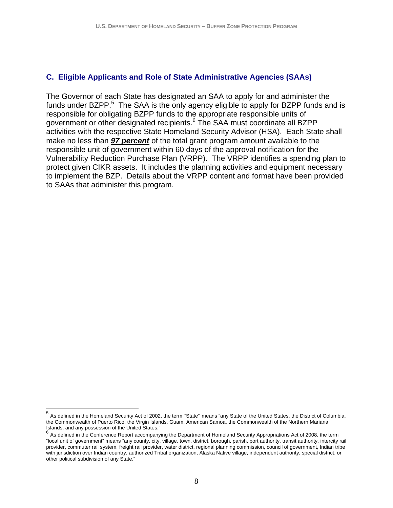#### **C. Eligible Applicants and Role of State Administrative Agencies (SAAs)**

The Governor of each State has designated an SAA to apply for and administer the funds under BZPP.<sup>5</sup> The SAA is the only agency eligible to apply for BZPP funds and is responsible for obligating BZPP funds to the appropriate responsible units of government or other designated recipients.<sup>6</sup> The SAA must coordinate all BZPP activities with the respective State Homeland Security Advisor (HSA). Each State shall make no less than *97 percent* of the total grant program amount available to the responsible unit of government within 60 days of the approval notification for the Vulnerability Reduction Purchase Plan (VRPP). The VRPP identifies a spending plan to protect given CIKR assets. It includes the planning activities and equipment necessary to implement the BZP. Details about the VRPP content and format have been provided to SAAs that administer this program.

 $\overline{a}$ 

<sup>5</sup> As defined in the Homeland Security Act of 2002, the term ''State'' means "any State of the United States, the District of Columbia, the Commonwealth of Puerto Rico, the Virgin Islands, Guam, American Samoa, the Commonwealth of the Northern Mariana Islands, and any possession of the United States."

 $6$  As defined in the Conference Report accompanying the Department of Homeland Security Appropriations Act of 2008, the term "local unit of government" means "any county, city, village, town, district, borough, parish, port authority, transit authority, intercity rail provider, commuter rail system, freight rail provider, water district, regional planning commission, council of government, Indian tribe with jurisdiction over Indian country, authorized Tribal organization, Alaska Native village, independent authority, special district, or other political subdivision of any State."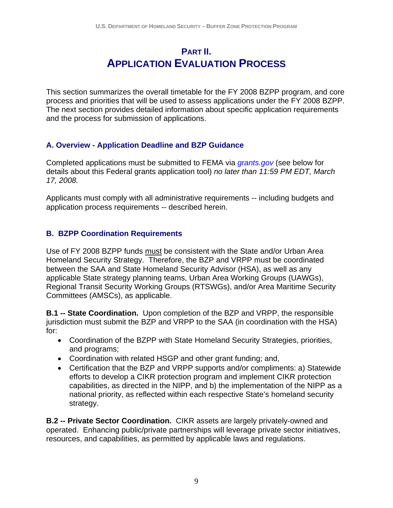## **PART II. APPLICATION EVALUATION PROCESS**

<span id="page-10-0"></span>This section summarizes the overall timetable for the FY 2008 BZPP program, and core process and priorities that will be used to assess applications under the FY 2008 BZPP. The next section provides detailed information about specific application requirements and the process for submission of applications.

#### **A. Overview - Application Deadline and BZP Guidance**

Completed applications must be submitted to FEMA via *grants.gov* (see below for details about this Federal grants application tool) *no later than 11:59 PM EDT, March 17, 2008.* 

Applicants must comply with all administrative requirements -- including budgets and application process requirements -- described herein.

#### **B. BZPP Coordination Requirements**

Use of FY 2008 BZPP funds must be consistent with the State and/or Urban Area Homeland Security Strategy. Therefore, the BZP and VRPP must be coordinated between the SAA and State Homeland Security Advisor (HSA), as well as any applicable State strategy planning teams, Urban Area Working Groups (UAWGs), Regional Transit Security Working Groups (RTSWGs), and/or Area Maritime Security Committees (AMSCs), as applicable.

**B.1 -- State Coordination.** Upon completion of the BZP and VRPP, the responsible jurisdiction must submit the BZP and VRPP to the SAA (in coordination with the HSA) for:

- Coordination of the BZPP with State Homeland Security Strategies, priorities, and programs;
- Coordination with related HSGP and other grant funding; and,
- Certification that the BZP and VRPP supports and/or compliments: a) Statewide efforts to develop a CIKR protection program and implement CIKR protection capabilities, as directed in the NIPP, and b) the implementation of the NIPP as a national priority, as reflected within each respective State's homeland security strategy.

**B.2 -- Private Sector Coordination.** CIKR assets are largely privately-owned and operated. Enhancing public/private partnerships will leverage private sector initiatives, resources, and capabilities, as permitted by applicable laws and regulations.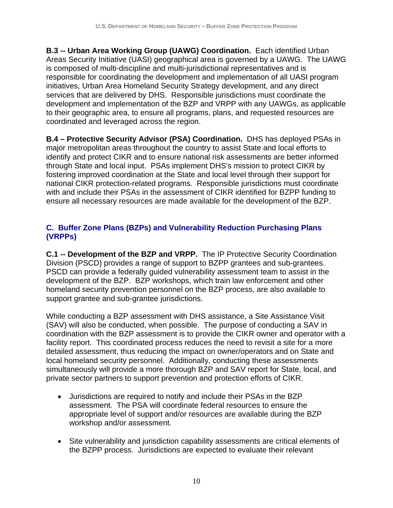**B.3 -- Urban Area Working Group (UAWG) Coordination.** Each identified Urban Areas Security Initiative (UASI) geographical area is governed by a UAWG. The UAWG is composed of multi-discipline and multi-jurisdictional representatives and is responsible for coordinating the development and implementation of all UASI program initiatives, Urban Area Homeland Security Strategy development, and any direct services that are delivered by DHS. Responsible jurisdictions must coordinate the development and implementation of the BZP and VRPP with any UAWGs, as applicable to their geographic area, to ensure all programs, plans, and requested resources are coordinated and leveraged across the region.

**B.4 – Protective Security Advisor (PSA) Coordination.** DHS has deployed PSAs in major metropolitan areas throughout the country to assist State and local efforts to identify and protect CIKR and to ensure national risk assessments are better informed through State and local input. PSAs implement DHS's mission to protect CIKR by fostering improved coordination at the State and local level through their support for national CIKR protection-related programs. Responsible jurisdictions must coordinate with and include their PSAs in the assessment of CIKR identified for BZPP funding to ensure all necessary resources are made available for the development of the BZP.

#### **C. Buffer Zone Plans (BZPs) and Vulnerability Reduction Purchasing Plans (VRPPs)**

**C.1 -- Development of the BZP and VRPP.** The IP Protective Security Coordination Division (PSCD) provides a range of support to BZPP grantees and sub-grantees. PSCD can provide a federally guided vulnerability assessment team to assist in the development of the BZP. BZP workshops, which train law enforcement and other homeland security prevention personnel on the BZP process, are also available to support grantee and sub-grantee jurisdictions.

While conducting a BZP assessment with DHS assistance, a Site Assistance Visit (SAV) will also be conducted, when possible. The purpose of conducting a SAV in coordination with the BZP assessment is to provide the CIKR owner and operator with a facility report. This coordinated process reduces the need to revisit a site for a more detailed assessment, thus reducing the impact on owner/operators and on State and local homeland security personnel. Additionally, conducting these assessments simultaneously will provide a more thorough BZP and SAV report for State, local, and private sector partners to support prevention and protection efforts of CIKR.

- Jurisdictions are required to notify and include their PSAs in the BZP assessment. The PSA will coordinate federal resources to ensure the appropriate level of support and/or resources are available during the BZP workshop and/or assessment.
- Site vulnerability and jurisdiction capability assessments are critical elements of the BZPP process. Jurisdictions are expected to evaluate their relevant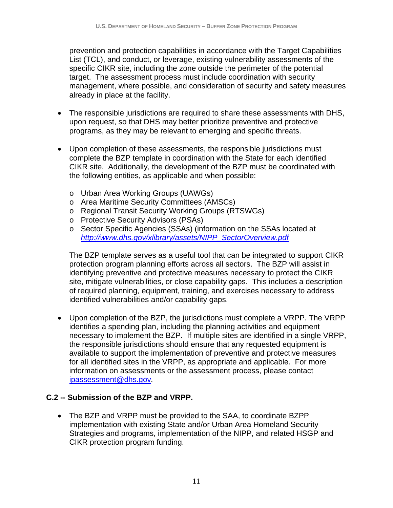prevention and protection capabilities in accordance with the Target Capabilities List (TCL), and conduct, or leverage, existing vulnerability assessments of the specific CIKR site, including the zone outside the perimeter of the potential target. The assessment process must include coordination with security management, where possible, and consideration of security and safety measures already in place at the facility.

- The responsible jurisdictions are required to share these assessments with DHS, upon request, so that DHS may better prioritize preventive and protective programs, as they may be relevant to emerging and specific threats.
- Upon completion of these assessments, the responsible jurisdictions must complete the BZP template in coordination with the State for each identified CIKR site. Additionally, the development of the BZP must be coordinated with the following entities, as applicable and when possible:
	- o Urban Area Working Groups (UAWGs)
	- o Area Maritime Security Committees (AMSCs)
	- o Regional Transit Security Working Groups (RTSWGs)
	- o Protective Security Advisors (PSAs)
	- o Sector Specific Agencies (SSAs) (information on the SSAs located at *http://www.dhs.gov/xlibrary/assets/NIPP\_SectorOverview.pdf*

The BZP template serves as a useful tool that can be integrated to support CIKR protection program planning efforts across all sectors. The BZP will assist in identifying preventive and protective measures necessary to protect the CIKR site, mitigate vulnerabilities, or close capability gaps. This includes a description of required planning, equipment, training, and exercises necessary to address identified vulnerabilities and/or capability gaps.

• Upon completion of the BZP, the jurisdictions must complete a VRPP. The VRPP identifies a spending plan, including the planning activities and equipment necessary to implement the BZP. If multiple sites are identified in a single VRPP, the responsible jurisdictions should ensure that any requested equipment is available to support the implementation of preventive and protective measures for all identified sites in the VRPP, as appropriate and applicable. For more information on assessments or the assessment process, please contact ipassessment@dhs.gov*.* 

#### **C.2 -- Submission of the BZP and VRPP.**

• The BZP and VRPP must be provided to the SAA, to coordinate BZPP implementation with existing State and/or Urban Area Homeland Security Strategies and programs, implementation of the NIPP, and related HSGP and CIKR protection program funding.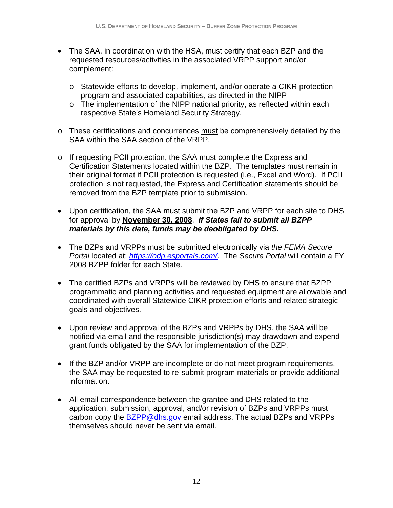- The SAA, in coordination with the HSA, must certify that each BZP and the requested resources/activities in the associated VRPP support and/or complement:
	- o Statewide efforts to develop, implement, and/or operate a CIKR protection program and associated capabilities, as directed in the NIPP
	- $\circ$  The implementation of the NIPP national priority, as reflected within each respective State's Homeland Security Strategy.
- o These certifications and concurrences must be comprehensively detailed by the SAA within the SAA section of the VRPP.
- o If requesting PCII protection, the SAA must complete the Express and Certification Statements located within the BZP. The templates must remain in their original format if PCII protection is requested (i.e., Excel and Word). If PCII protection is not requested, the Express and Certification statements should be removed from the BZP template prior to submission.
- Upon certification, the SAA must submit the BZP and VRPP for each site to DHS for approval by **November 30, 2008**. *If States fail to submit all BZPP materials by this date, funds may be deobligated by DHS.*
- • The BZPs and VRPPs must be submitted electronically via *the FEMA Secure Portal located at: https://odp.esportals.com/.* The *Secure Portal will contain a FY* 2008 BZPP folder for each State.
- The certified BZPs and VRPPs will be reviewed by DHS to ensure that BZPP programmatic and planning activities and requested equipment are allowable and coordinated with overall Statewide CIKR protection efforts and related strategic goals and objectives.
- Upon review and approval of the BZPs and VRPPs by DHS, the SAA will be notified via email and the responsible jurisdiction(s) may drawdown and expend grant funds obligated by the SAA for implementation of the BZP.
- If the BZP and/or VRPP are incomplete or do not meet program requirements, the SAA may be requested to re-submit program materials or provide additional information.
- All email correspondence between the grantee and DHS related to the application, submission, approval, and/or revision of BZPs and VRPPs must carbon copy the **BZPP@dhs.gov** email address. The actual BZPs and VRPPs themselves should never be sent via email.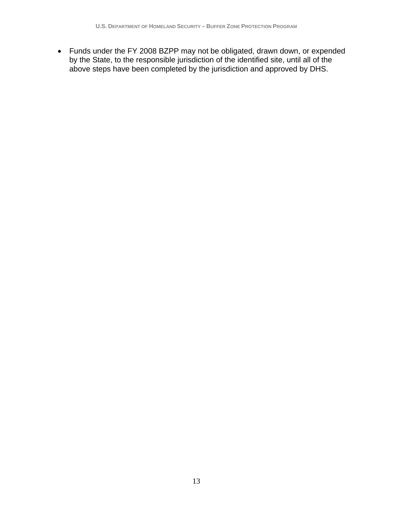• Funds under the FY 2008 BZPP may not be obligated, drawn down, or expended by the State, to the responsible jurisdiction of the identified site, until all of the above steps have been completed by the jurisdiction and approved by DHS.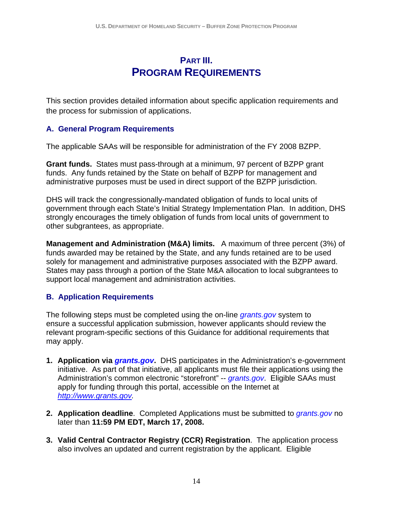## **PART III. PROGRAM REQUIREMENTS**

<span id="page-15-0"></span>This section provides detailed information about specific application requirements and the process for submission of applications.

#### **A. General Program Requirements**

The applicable SAAs will be responsible for administration of the FY 2008 BZPP.

**Grant funds.** States must pass-through at a minimum, 97 percent of BZPP grant funds. Any funds retained by the State on behalf of BZPP for management and administrative purposes must be used in direct support of the BZPP jurisdiction.

DHS will track the congressionally-mandated obligation of funds to local units of government through each State's Initial Strategy Implementation Plan. In addition, DHS strongly encourages the timely obligation of funds from local units of government to other subgrantees, as appropriate.

**Management and Administration (M&A) limits.** A maximum of three percent (3%) of funds awarded may be retained by the State, and any funds retained are to be used solely for management and administrative purposes associated with the BZPP award. States may pass through a portion of the State M&A allocation to local subgrantees to support local management and administration activities.

#### **B. Application Requirements**

The following steps must be completed using the on-line *grants.gov* system to ensure a successful application submission, however applicants should review the relevant program-specific sections of this Guidance for additional requirements that may apply.

- **1. Application via** *grants.gov***.** DHS participates in the Administration's e-government initiative. As part of that initiative, all applicants must file their applications using the Administration's common electronic "storefront" -- *grants.gov*. Eligible SAAs must apply for funding through this portal, accessible on the Internet at *http://www.grants.gov.*
- **2. Application deadline**. Completed Applications must be submitted to *grants.gov* no later than **11:59 PM EDT, March 17, 2008.**
- **3. Valid Central Contractor Registry (CCR) Registration**. The application process also involves an updated and current registration by the applicant. Eligible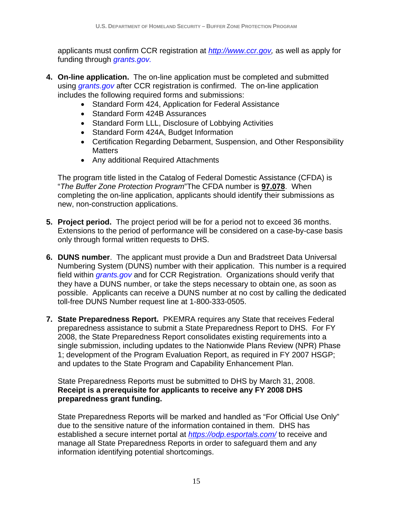applicants must confirm CCR registration at *http://www.ccr.gov,* as well as apply for funding through *grants.gov.* 

- **4. On-line application.** The on-line application must be completed and submitted using *grants.gov* after CCR registration is confirmed. The on-line application includes the following required forms and submissions:
	- Standard Form 424, Application for Federal Assistance
	- Standard Form 424B Assurances
	- Standard Form LLL, Disclosure of Lobbying Activities
	- Standard Form 424A, Budget Information
	- Certification Regarding Debarment, Suspension, and Other Responsibility **Matters**
	- Any additional Required Attachments

The program title listed in the Catalog of Federal Domestic Assistance (CFDA) is "*The Buffer Zone Protection Program*"The CFDA number is **97.078**. When completing the on-line application, applicants should identify their submissions as new, non-construction applications.

- **5. Project period.** The project period will be for a period not to exceed 36 months. Extensions to the period of performance will be considered on a case-by-case basis only through formal written requests to DHS.
- **6. DUNS number**. The applicant must provide a Dun and Bradstreet Data Universal Numbering System (DUNS) number with their application. This number is a required field within *grants.gov* and for CCR Registration. Organizations should verify that they have a DUNS number, or take the steps necessary to obtain one, as soon as possible. Applicants can receive a DUNS number at no cost by calling the dedicated toll-free DUNS Number request line at 1-800-333-0505.
- **7. State Preparedness Report.** PKEMRA requires any State that receives Federal preparedness assistance to submit a State Preparedness Report to DHS. For FY 2008, the State Preparedness Report consolidates existing requirements into a single submission, including updates to the Nationwide Plans Review (NPR) Phase 1; development of the Program Evaluation Report, as required in FY 2007 HSGP; and updates to the State Program and Capability Enhancement Plan.

 **preparedness grant funding.** State Preparedness Reports must be submitted to DHS by March 31, 2008. **Receipt is a prerequisite for applicants to receive any FY 2008 DHS** 

State Preparedness Reports will be marked and handled as "For Official Use Only" due to the sensitive nature of the information contained in them. DHS has established a secure internet portal at *https://odp.esportals.com/* to receive and manage all State Preparedness Reports in order to safeguard them and any information identifying potential shortcomings.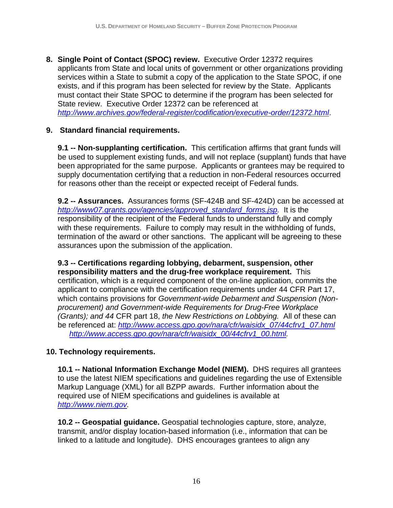**8. Single Point of Contact (SPOC) review.** Executive Order 12372 requires applicants from State and local units of government or other organizations providing services within a State to submit a copy of the application to the State SPOC, if one exists, and if this program has been selected for review by the State. Applicants must contact their State SPOC to determine if the program has been selected for State review. Executive Order 12372 can be referenced at *http://www.archives.gov/federal-register/codification/executive-order/12372.html*.

#### **9. Standard financial requirements.**

**9.1 -- Non-supplanting certification.** This certification affirms that grant funds will be used to supplement existing funds, and will not replace (supplant) funds that have been appropriated for the same purpose. Applicants or grantees may be required to supply documentation certifying that a reduction in non-Federal resources occurred for reasons other than the receipt or expected receipt of Federal funds.

**9.2 -- Assurances.** Assurances forms (SF-424B and SF-424D) can be accessed at *http://www07.grants.gov/agencies/approved\_standard\_forms.jsp.* It is the responsibility of the recipient of the Federal funds to understand fully and comply with these requirements. Failure to comply may result in the withholding of funds, termination of the award or other sanctions. The applicant will be agreeing to these assurances upon the submission of the application.

be referenced at: http://www.access.gpo.gov/nara/cfr/waisidx 07/44cfrv1 07.html **9.3 -- Certifications regarding lobbying, debarment, suspension, other responsibility matters and the drug-free workplace requirement.** This certification, which is a required component of the on-line application, commits the applicant to compliance with the certification requirements under 44 CFR Part 17, which contains provisions for *Government-wide Debarment and Suspension (Nonprocurement) and Government-wide Requirements for Drug-Free Workplace (Grants); and 44* CFR part 18, *the New Restrictions on Lobbying.* All of these can be referenced at: *http://www.access.gpo.gov/nara/cfr/waisidx\_07/44cfrv1\_07.html http://www.access.gpo.gov/nara/cfr/waisidx\_00/44cfrv1\_00.html.* 

#### **10. Technology requirements.**

 Markup Language (XML) for all BZPP awards. Further information about the **10.1 -- National Information Exchange Model (NIEM).** DHS requires all grantees to use the latest NIEM specifications and guidelines regarding the use of Extensible required use of NIEM specifications and guidelines is available at *http://www.niem.gov.* 

 linked to a latitude and longitude). DHS encourages grantees to align any **10.2 -- Geospatial guidance.** Geospatial technologies capture, store, analyze, transmit, and/or display location-based information (i.e., information that can be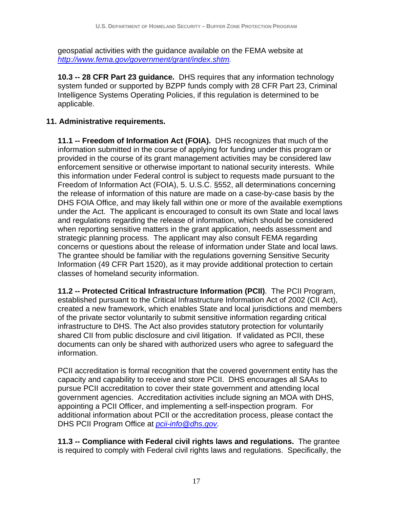geospatial activities with the guidance available on the FEMA website at *http://www.fema.gov/government/grant/index.shtm.* 

**10.3 -- 28 CFR Part 23 guidance.** DHS requires that any information technology system funded or supported by BZPP funds comply with 28 CFR Part 23, Criminal Intelligence Systems Operating Policies, if this regulation is determined to be applicable.

#### **11. Administrative requirements.**

**11.1 -- Freedom of Information Act (FOIA).** DHS recognizes that much of the information submitted in the course of applying for funding under this program or provided in the course of its grant management activities may be considered law enforcement sensitive or otherwise important to national security interests. While this information under Federal control is subject to requests made pursuant to the Freedom of Information Act (FOIA), 5. U.S.C. §552, all determinations concerning the release of information of this nature are made on a case-by-case basis by the DHS FOIA Office, and may likely fall within one or more of the available exemptions under the Act. The applicant is encouraged to consult its own State and local laws and regulations regarding the release of information, which should be considered when reporting sensitive matters in the grant application, needs assessment and strategic planning process. The applicant may also consult FEMA regarding concerns or questions about the release of information under State and local laws. The grantee should be familiar with the regulations governing Sensitive Security Information (49 CFR Part 1520), as it may provide additional protection to certain classes of homeland security information.

**11.2 -- Protected Critical Infrastructure Information (PCII)**. The PCII Program, established pursuant to the Critical Infrastructure Information Act of 2002 (CII Act), created a new framework, which enables State and local jurisdictions and members of the private sector voluntarily to submit sensitive information regarding critical infrastructure to DHS. The Act also provides statutory protection for voluntarily shared CII from public disclosure and civil litigation. If validated as PCII, these documents can only be shared with authorized users who agree to safeguard the information.

PCII accreditation is formal recognition that the covered government entity has the capacity and capability to receive and store PCII. DHS encourages all SAAs to pursue PCII accreditation to cover their state government and attending local government agencies. Accreditation activities include signing an MOA with DHS, appointing a PCII Officer, and implementing a self-inspection program. For additional information about PCII or the accreditation process, please contact the DHS PCII Program Office at *pcii-info@dhs.gov.* 

**11.3 -- Compliance with Federal civil rights laws and regulations.** The grantee is required to comply with Federal civil rights laws and regulations. Specifically, the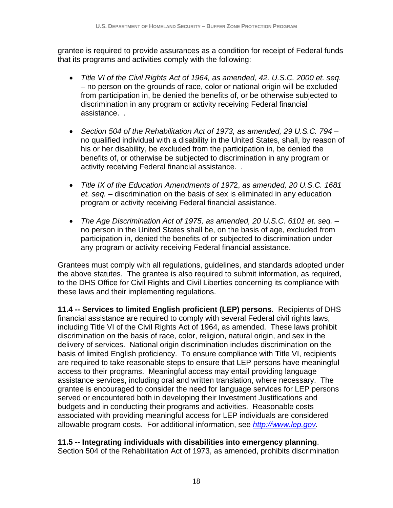grantee is required to provide assurances as a condition for receipt of Federal funds that its programs and activities comply with the following:

- *Title VI of the Civil Rights Act of 1964, as amended, 42. U.S.C. 2000 et. seq.* – no person on the grounds of race, color or national origin will be excluded from participation in, be denied the benefits of, or be otherwise subjected to discrimination in any program or activity receiving Federal financial assistance. *.*
- Section 504 of the Rehabilitation Act of 1973, as amended, 29 U.S.C. 794 no qualified individual with a disability in the United States, shall, by reason of his or her disability, be excluded from the participation in, be denied the benefits of, or otherwise be subjected to discrimination in any program or activity receiving Federal financial assistance. *.*
- • *Title IX of the Education Amendments of 197*2, *as amended, 20 U.S.C. 1681 et. seq.* – discrimination on the basis of sex is eliminated in any education program or activity receiving Federal financial assistance.
- The Age Discrimination Act of 1975, as amended, 20 U.S.C. 6101 et. seq. no person in the United States shall be, on the basis of age, excluded from participation in, denied the benefits of or subjected to discrimination under any program or activity receiving Federal financial assistance.

Grantees must comply with all regulations, guidelines, and standards adopted under the above statutes. The grantee is also required to submit information, as required, to the DHS Office for Civil Rights and Civil Liberties concerning its compliance with these laws and their implementing regulations.

**11.4 -- Services to limited English proficient (LEP) persons**. Recipients of DHS financial assistance are required to comply with several Federal civil rights laws, including Title VI of the Civil Rights Act of 1964, as amended. These laws prohibit discrimination on the basis of race, color, religion, natural origin, and sex in the delivery of services. National origin discrimination includes discrimination on the basis of limited English proficiency. To ensure compliance with Title VI, recipients are required to take reasonable steps to ensure that LEP persons have meaningful access to their programs. Meaningful access may entail providing language assistance services, including oral and written translation, where necessary. The grantee is encouraged to consider the need for language services for LEP persons served or encountered both in developing their Investment Justifications and budgets and in conducting their programs and activities. Reasonable costs associated with providing meaningful access for LEP individuals are considered allowable program costs. For additional information, see *http://www.lep.gov.* 

#### **11.5 -- Integrating individuals with disabilities into emergency planning**.

Section 504 of the Rehabilitation Act of 1973, as amended, prohibits discrimination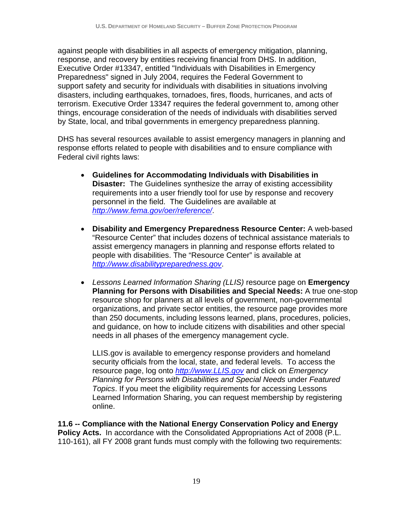against people with disabilities in all aspects of emergency mitigation, planning, response, and recovery by entities receiving financial from DHS. In addition, Executive Order #13347, entitled "Individuals with Disabilities in Emergency Preparedness" signed in July 2004, requires the Federal Government to support safety and security for individuals with disabilities in situations involving disasters, including earthquakes, tornadoes, fires, floods, hurricanes, and acts of terrorism. Executive Order 13347 requires the federal government to, among other things, encourage consideration of the needs of individuals with disabilities served by State, local, and tribal governments in emergency preparedness planning.

DHS has several resources available to assist emergency managers in planning and response efforts related to people with disabilities and to ensure compliance with Federal civil rights laws:

- • **Guidelines for Accommodating Individuals with Disabilities in Disaster:** The Guidelines synthesize the array of existing accessibility requirements into a user friendly tool for use by response and recovery personnel in the field. The Guidelines are available at *http://www.fema.gov/oer/reference/*.
- • **Disability and Emergency Preparedness Resource Center:** A web-based "Resource Center" that includes dozens of technical assistance materials to assist emergency managers in planning and response efforts related to people with disabilities. The "Resource Center" is available at *http://www.disabilitypreparedness.gov*.
- • *Lessons Learned Information Sharing (LLIS)* resource page on **Emergency Planning for Persons with Disabilities and Special Needs:** A true one-stop resource shop for planners at all levels of government, non-governmental organizations, and private sector entities, the resource page provides more than 250 documents, including lessons learned, plans, procedures, policies, and guidance, on how to include citizens with disabilities and other special needs in all phases of the emergency management cycle.

LLIS.gov is available to emergency response providers and homeland security officials from the local, state, and federal levels. To access the resource page, log onto *http://www.LLIS.gov* and click on *Emergency Planning for Persons with Disabilities and Special Needs* under *Featured Topics*. If you meet the eligibility requirements for accessing Lessons Learned Information Sharing, you can request membership by registering online.

**11.6 -- Compliance with the National Energy Conservation Policy and Energy Policy Acts.** In accordance with the Consolidated Appropriations Act of 2008 (P.L. 110-161), all FY 2008 grant funds must comply with the following two requirements: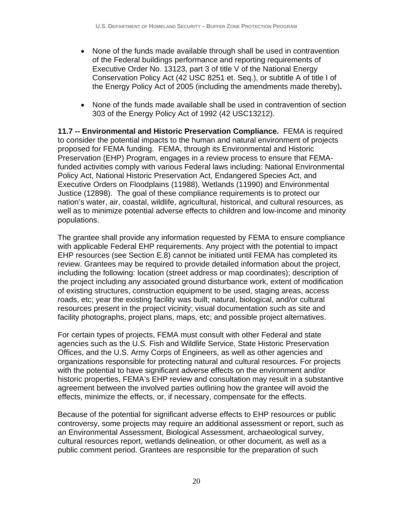- None of the funds made available through shall be used in contravention of the Federal buildings performance and reporting requirements of Executive Order No. 13123, part 3 of title V of the National Energy Conservation Policy Act (42 USC 8251 et. Seq.), or subtitle A of title I of the Energy Policy Act of 2005 (including the amendments made thereby)**.**
- None of the funds made available shall be used in contravention of section 303 of the Energy Policy Act of 1992 (42 USC13212).

**11.7 -- Environmental and Historic Preservation Compliance.** FEMA is required to consider the potential impacts to the human and natural environment of projects proposed for FEMA funding. FEMA, through its Environmental and Historic Preservation (EHP) Program, engages in a review process to ensure that FEMAfunded activities comply with various Federal laws including: National Environmental Policy Act, National Historic Preservation Act, Endangered Species Act, and Executive Orders on Floodplains (11988), Wetlands (11990) and Environmental Justice (12898). The goal of these compliance requirements is to protect our nation's water, air, coastal, wildlife, agricultural, historical, and cultural resources, as well as to minimize potential adverse effects to children and low-income and minority populations.

The grantee shall provide any information requested by FEMA to ensure compliance with applicable Federal EHP requirements. Any project with the potential to impact EHP resources (see Section E.8) cannot be initiated until FEMA has completed its review. Grantees may be required to provide detailed information about the project, including the following: location (street address or map coordinates); description of the project including any associated ground disturbance work, extent of modification of existing structures, construction equipment to be used, staging areas, access roads, etc; year the existing facility was built; natural, biological, and/or cultural resources present in the project vicinity; visual documentation such as site and facility photographs, project plans, maps, etc; and possible project alternatives.

For certain types of projects, FEMA must consult with other Federal and state agencies such as the U.S. Fish and Wildlife Service, State Historic Preservation Offices, and the U.S. Army Corps of Engineers, as well as other agencies and organizations responsible for protecting natural and cultural resources. For projects with the potential to have significant adverse effects on the environment and/or historic properties, FEMA's EHP review and consultation may result in a substantive agreement between the involved parties outlining how the grantee will avoid the effects, minimize the effects, or, if necessary, compensate for the effects.

Because of the potential for significant adverse effects to EHP resources or public controversy, some projects may require an additional assessment or report, such as an Environmental Assessment, Biological Assessment, archaeological survey, cultural resources report, wetlands delineation, or other document, as well as a public comment period. Grantees are responsible for the preparation of such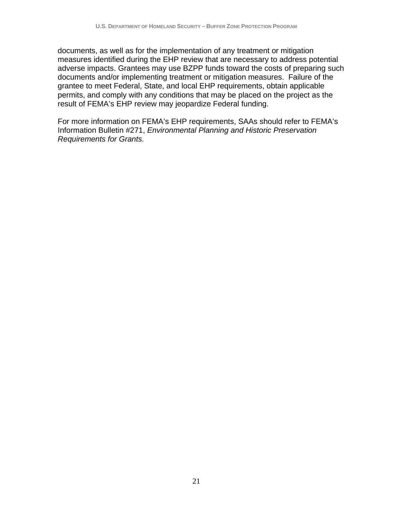documents, as well as for the implementation of any treatment or mitigation measures identified during the EHP review that are necessary to address potential adverse impacts. Grantees may use BZPP funds toward the costs of preparing such documents and/or implementing treatment or mitigation measures. Failure of the grantee to meet Federal, State, and local EHP requirements, obtain applicable permits, and comply with any conditions that may be placed on the project as the result of FEMA's EHP review may jeopardize Federal funding.

For more information on FEMA's EHP requirements, SAAs should refer to FEMA's Information Bulletin #271, *Environmental Planning and Historic Preservation Requirements for Grants.*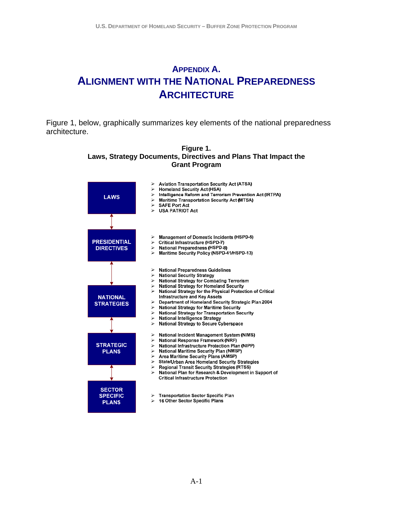## <span id="page-23-0"></span>**APPENDIX A. ALIGNMENT WITH THE NATIONAL PREPAREDNESS ARCHITECTURE**

Figure 1, below, graphically summarizes key elements of the national preparedness architecture.

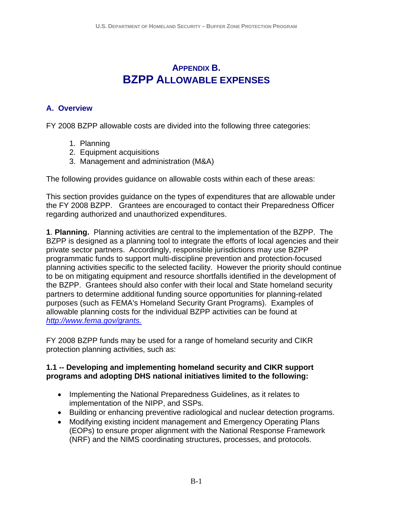## **APPENDIX B. BZPP ALLOWABLE EXPENSES**

#### <span id="page-24-0"></span>**A. Overview**

FY 2008 BZPP allowable costs are divided into the following three categories:

- 1. Planning
- 2. Equipment acquisitions
- 3. Management and administration (M&A)

The following provides guidance on allowable costs within each of these areas:

This section provides guidance on the types of expenditures that are allowable under the FY 2008 BZPP. Grantees are encouraged to contact their Preparedness Officer regarding authorized and unauthorized expenditures.

**1**. **Planning.** Planning activities are central to the implementation of the BZPP. The BZPP is designed as a planning tool to integrate the efforts of local agencies and their private sector partners. Accordingly, responsible jurisdictions may use BZPP programmatic funds to support multi-discipline prevention and protection-focused planning activities specific to the selected facility. However the priority should continue to be on mitigating equipment and resource shortfalls identified in the development of the BZPP. Grantees should also confer with their local and State homeland security partners to determine additional funding source opportunities for planning-related purposes (such as FEMA's Homeland Security Grant Programs). Examples of allowable planning costs for the individual BZPP activities can be found at *http://www.fema.gov/grants.* 

FY 2008 BZPP funds may be used for a range of homeland security and CIKR protection planning activities, such as:

#### **1.1 -- Developing and implementing homeland security and CIKR support programs and adopting DHS national initiatives limited to the following:**

- Implementing the National Preparedness Guidelines, as it relates to implementation of the NIPP, and SSPs.
- Building or enhancing preventive radiological and nuclear detection programs.
- Modifying existing incident management and Emergency Operating Plans (EOPs) to ensure proper alignment with the National Response Framework (NRF) and the NIMS coordinating structures, processes, and protocols.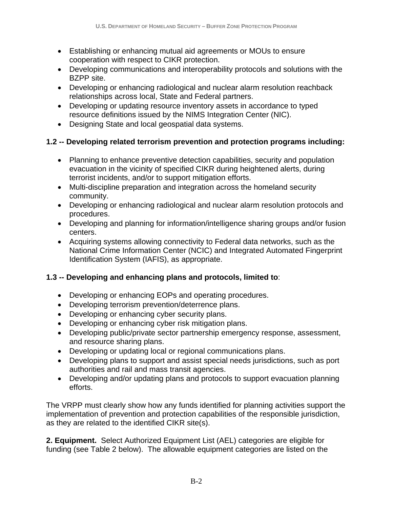- Establishing or enhancing mutual aid agreements or MOUs to ensure cooperation with respect to CIKR protection.
- Developing communications and interoperability protocols and solutions with the BZPP site.
- Developing or enhancing radiological and nuclear alarm resolution reachback relationships across local, State and Federal partners.
- Developing or updating resource inventory assets in accordance to typed resource definitions issued by the NIMS Integration Center (NIC).
- Designing State and local geospatial data systems.

#### **1.2 -- Developing related terrorism prevention and protection programs including:**

- Planning to enhance preventive detection capabilities, security and population evacuation in the vicinity of specified CIKR during heightened alerts, during terrorist incidents, and/or to support mitigation efforts.
- Multi-discipline preparation and integration across the homeland security community.
- Developing or enhancing radiological and nuclear alarm resolution protocols and procedures.
- Developing and planning for information/intelligence sharing groups and/or fusion centers.
- Acquiring systems allowing connectivity to Federal data networks, such as the National Crime Information Center (NCIC) and Integrated Automated Fingerprint Identification System (IAFIS), as appropriate.

#### **1.3 -- Developing and enhancing plans and protocols, limited to**:

- Developing or enhancing EOPs and operating procedures.
- Developing terrorism prevention/deterrence plans.
- Developing or enhancing cyber security plans.
- Developing or enhancing cyber risk mitigation plans.
- Developing public/private sector partnership emergency response, assessment, and resource sharing plans.
- Developing or updating local or regional communications plans.
- Developing plans to support and assist special needs jurisdictions, such as port authorities and rail and mass transit agencies.
- Developing and/or updating plans and protocols to support evacuation planning efforts.

The VRPP must clearly show how any funds identified for planning activities support the implementation of prevention and protection capabilities of the responsible jurisdiction, as they are related to the identified CIKR site(s).

**2. Equipment.** Select Authorized Equipment List (AEL) categories are eligible for funding (see Table 2 below). The allowable equipment categories are listed on the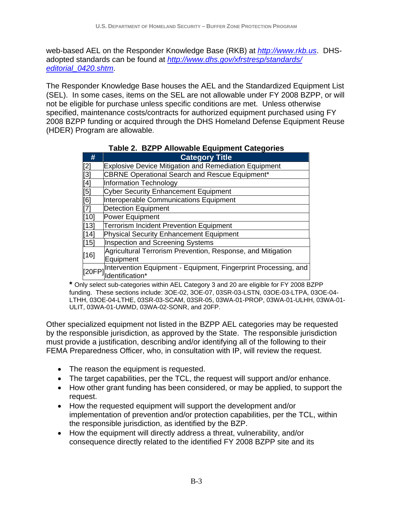web-based AEL on the Responder Knowledge Base (RKB) at *http://www.rkb.us*. DHSadopted standards can be found at *http://www.dhs.gov/xfrstresp/standards/ editorial\_0420.shtm*.

The Responder Knowledge Base houses the AEL and the Standardized Equipment List (SEL). In some cases, items on the SEL are not allowable under FY 2008 BZPP, or will not be eligible for purchase unless specific conditions are met. Unless otherwise specified, maintenance costs/contracts for authorized equipment purchased using FY 2008 BZPP funding or acquired through the DHS Homeland Defense Equipment Reuse (HDER) Program are allowable.

| #                | <b>Category Title</b>                                           |
|------------------|-----------------------------------------------------------------|
| [2]              | <b>Explosive Device Mitigation and Remediation Equipment</b>    |
| $\overline{[3]}$ | <b>CBRNE Operational Search and Rescue Equipment*</b>           |
| $\overline{[4]}$ | <b>Information Technology</b>                                   |
| [5]              | <b>Cyber Security Enhancement Equipment</b>                     |
| [6]              | Interoperable Communications Equipment                          |
| $\overline{[7]}$ | <b>Detection Equipment</b>                                      |
| [10]             | Power Equipment                                                 |
| $[13]$           | <b>Terrorism Incident Prevention Equipment</b>                  |
| [14]             | <b>Physical Security Enhancement Equipment</b>                  |
| $[15]$           | Inspection and Screening Systems                                |
| $[16]$           | Agricultural Terrorism Prevention, Response, and Mitigation     |
|                  | Equipment                                                       |
| [20FP]           | Intervention Equipment - Equipment, Fingerprint Processing, and |
|                  | dentification*                                                  |

| Table 2. BZPP Allowable Equipment Categories |
|----------------------------------------------|
|                                              |

**\*** Only select sub-categories within AEL Category 3 and 20 are eligible for FY 2008 BZPP funding. These sections include: 3OE-02, 3OE-07, 03SR-03-LSTN, 03OE-03-LTPA, 03OE-04- LTHH, 03OE-04-LTHE, 03SR-03-SCAM, 03SR-05, 03WA-01-PROP, 03WA-01-ULHH, 03WA-01- ULIT, 03WA-01-UWMD, 03WA-02-SONR, and 20FP.

Other specialized equipment not listed in the BZPP AEL categories may be requested by the responsible jurisdiction, as approved by the State. The responsible jurisdiction must provide a justification, describing and/or identifying all of the following to their FEMA Preparedness Officer, who, in consultation with IP, will review the request.

- The reason the equipment is requested.
- The target capabilities, per the TCL, the request will support and/or enhance.
- How other grant funding has been considered, or may be applied, to support the request.
- How the requested equipment will support the development and/or implementation of prevention and/or protection capabilities, per the TCL, within the responsible jurisdiction, as identified by the BZP.
- How the equipment will directly address a threat, vulnerability, and/or consequence directly related to the identified FY 2008 BZPP site and its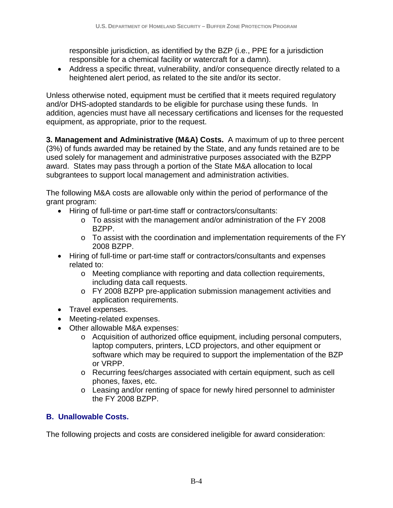responsible jurisdiction, as identified by the BZP (i.e., PPE for a jurisdiction responsible for a chemical facility or watercraft for a damn).

• Address a specific threat, vulnerability, and/or consequence directly related to a heightened alert period, as related to the site and/or its sector.

Unless otherwise noted, equipment must be certified that it meets required regulatory and/or DHS-adopted standards to be eligible for purchase using these funds. In addition, agencies must have all necessary certifications and licenses for the requested equipment, as appropriate, prior to the request.

subgrantees to support local management and administration activities. **3. Management and Administrative (M&A) Costs.** A maximum of up to three percent (3%) of funds awarded may be retained by the State, and any funds retained are to be used solely for management and administrative purposes associated with the BZPP award. States may pass through a portion of the State M&A allocation to local

The following M&A costs are allowable only within the period of performance of the grant program:

- Hiring of full-time or part-time staff or contractors/consultants:
	- $\circ$  To assist with the management and/or administration of the FY 2008 BZPP.
	- $\circ$  To assist with the coordination and implementation requirements of the FY 2008 BZPP.
- Hiring of full-time or part-time staff or contractors/consultants and expenses related to:
	- o Meeting compliance with reporting and data collection requirements, including data call requests.
	- o FY 2008 BZPP pre-application submission management activities and application requirements.
- Travel expenses.
- Meeting-related expenses.
- Other allowable M&A expenses:
	- o Acquisition of authorized office equipment, including personal computers, laptop computers, printers, LCD projectors, and other equipment or software which may be required to support the implementation of the BZP or VRPP.
	- $\circ$  Recurring fees/charges associated with certain equipment, such as cell phones, faxes, etc.
	- o Leasing and/or renting of space for newly hired personnel to administer the FY 2008 BZPP.

#### **B. Unallowable Costs.**

The following projects and costs are considered ineligible for award consideration: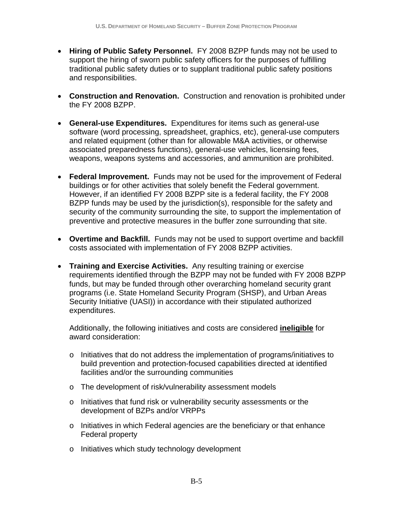- Hiring of Public Safety Personnel. FY 2008 BZPP funds may not be used to support the hiring of sworn public safety officers for the purposes of fulfilling traditional public safety duties or to supplant traditional public safety positions and responsibilities.
- • **Construction and Renovation.** Construction and renovation is prohibited under the FY 2008 BZPP.
- • **General-use Expenditures.** Expenditures for items such as general-use software (word processing, spreadsheet, graphics, etc), general-use computers and related equipment (other than for allowable M&A activities, or otherwise associated preparedness functions), general-use vehicles, licensing fees, weapons, weapons systems and accessories, and ammunition are prohibited.
- **Federal Improvement.** Funds may not be used for the improvement of Federal buildings or for other activities that solely benefit the Federal government. However, if an identified FY 2008 BZPP site is a federal facility, the FY 2008 BZPP funds may be used by the jurisdiction(s), responsible for the safety and security of the community surrounding the site, to support the implementation of preventive and protective measures in the buffer zone surrounding that site.
- • **Overtime and Backfill.** Funds may not be used to support overtime and backfill costs associated with implementation of FY 2008 BZPP activities.
- **Training and Exercise Activities.** Any resulting training or exercise requirements identified through the BZPP may not be funded with FY 2008 BZPP funds, but may be funded through other overarching homeland security grant programs (i.e. State Homeland Security Program (SHSP), and Urban Areas Security Initiative (UASI)) in accordance with their stipulated authorized expenditures.

Additionally, the following initiatives and costs are considered **ineligible** for award consideration:

- o Initiatives that do not address the implementation of programs/initiatives to build prevention and protection-focused capabilities directed at identified facilities and/or the surrounding communities
- o The development of risk/vulnerability assessment models
- o Initiatives that fund risk or vulnerability security assessments or the development of BZPs and/or VRPPs
- o Initiatives in which Federal agencies are the beneficiary or that enhance Federal property
- o Initiatives which study technology development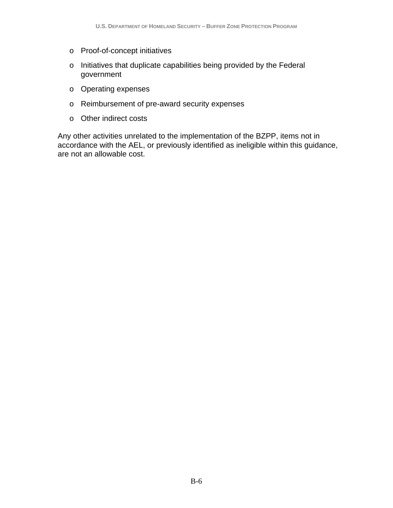- o Proof-of-concept initiatives
- o Initiatives that duplicate capabilities being provided by the Federal government
- o Operating expenses
- o Reimbursement of pre-award security expenses
- o Other indirect costs

Any other activities unrelated to the implementation of the BZPP, items not in accordance with the AEL, or previously identified as ineligible within this guidance, are not an allowable cost.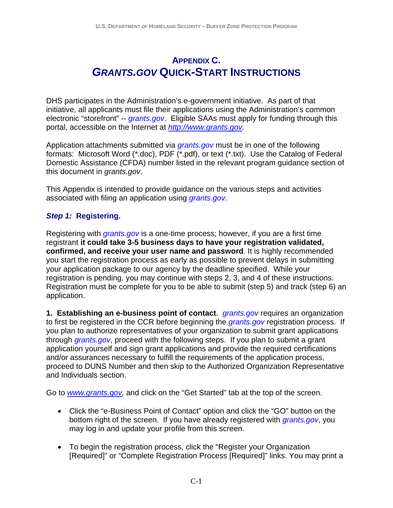## **APPENDIX C.**  *GRANTS.GOV* **QUICK-START INSTRUCTIONS**

DHS participates in the Administration's e-government initiative. As part of that initiative, all applicants must file their applications using the Administration's common electronic "storefront" -- *grants.gov*. Eligible SAAs must apply for funding through this portal, accessible on the Internet at *http://www.grants.gov.* 

Application attachments submitted via *grants.gov* must be in one of the following formats: Microsoft Word (\*.doc), PDF (\*.pdf), or text (\*.txt). Use the Catalog of Federal Domestic Assistance (CFDA) number listed in the relevant program guidance section of this document in *grants.gov*.

 associated with filing an application using *grants.gov.*  This Appendix is intended to provide guidance on the various steps and activities

#### *Step 1:* **Registering.**

Registering with *grants.gov* is a one-time process; however, if you are a first time registrant **it could take 3-5 business days to have your registration validated, confirmed, and receive your user name and password**. It is highly recommended you start the registration process as early as possible to prevent delays in submitting your application package to our agency by the deadline specified. While your registration is pending, you may continue with steps 2, 3, and 4 of these instructions. Registration must be complete for you to be able to submit (step 5) and track (step 6) an application.

**1. Establishing an e-business point of contact**. *grants.gov* requires an organization to first be registered in the CCR before beginning the *grants.gov* registration process. If you plan to authorize representatives of your organization to submit grant applications through *grants.gov*, proceed with the following steps. If you plan to submit a grant application yourself and sign grant applications and provide the required certifications and/or assurances necessary to fulfill the requirements of the application process, proceed to DUNS Number and then skip to the Authorized Organization Representative and Individuals section.

Go to *www.grants.gov,* and click on the "Get Started" tab at the top of the screen.

- Click the "e-Business Point of Contact" option and click the "GO" button on the bottom right of the screen. If you have already registered with *grants.gov*, you may log in and update your profile from this screen.
- To begin the registration process, click the "Register your Organization [Required]" or "Complete Registration Process [Required]" links. You may print a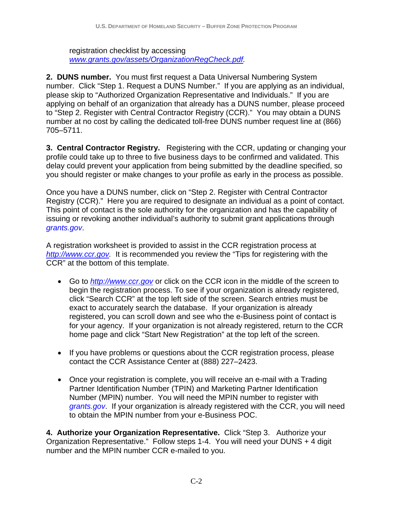registration checklist by accessing *www.grants.gov/assets/OrganizationRegCheck.pdf.* 

**2. DUNS number.** You must first request a Data Universal Numbering System number. Click "Step 1. Request a DUNS Number." If you are applying as an individual, please skip to "Authorized Organization Representative and Individuals." If you are applying on behalf of an organization that already has a DUNS number, please proceed to "Step 2. Register with Central Contractor Registry (CCR)." You may obtain a DUNS number at no cost by calling the dedicated toll-free DUNS number request line at (866) 705–5711.

**3. Central Contractor Registry.** Registering with the CCR, updating or changing your profile could take up to three to five business days to be confirmed and validated. This delay could prevent your application from being submitted by the deadline specified, so you should register or make changes to your profile as early in the process as possible.

Once you have a DUNS number, click on "Step 2. Register with Central Contractor Registry (CCR)." Here you are required to designate an individual as a point of contact. This point of contact is the sole authority for the organization and has the capability of issuing or revoking another individual's authority to submit grant applications through *grants.gov*.

A registration worksheet is provided to assist in the CCR registration process at *http://www.ccr.gov.* It is recommended you review the "Tips for registering with the CCR" at the bottom of this template.

- Go to *http://www.ccr.gov* or click on the CCR icon in the middle of the screen to begin the registration process. To see if your organization is already registered, click "Search CCR" at the top left side of the screen. Search entries must be exact to accurately search the database. If your organization is already registered, you can scroll down and see who the e-Business point of contact is for your agency. If your organization is not already registered, return to the CCR home page and click "Start New Registration" at the top left of the screen.
- If you have problems or questions about the CCR registration process, please contact the CCR Assistance Center at (888) 227–2423.
- Once your registration is complete, you will receive an e-mail with a Trading Partner Identification Number (TPIN) and Marketing Partner Identification Number (MPIN) number. You will need the MPIN number to register with *grants.gov*. If your organization is already registered with the CCR, you will need to obtain the MPIN number from your e-Business POC.

**4. Authorize your Organization Representative.** Click "Step 3. Authorize your Organization Representative." Follow steps 1-4. You will need your DUNS + 4 digit number and the MPIN number CCR e-mailed to you.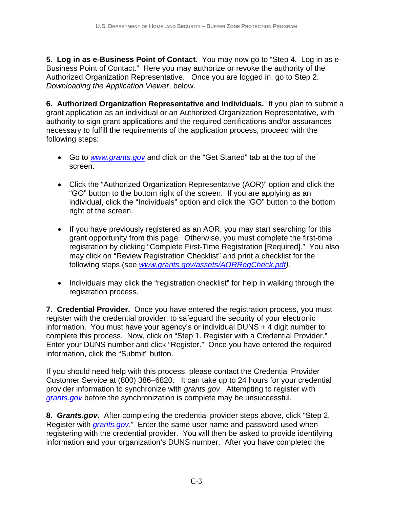Authorized Organization Representative. Once you are logged in, go to Step 2. **5. Log in as e-Business Point of Contact.** You may now go to "Step 4. Log in as e-Business Point of Contact." Here you may authorize or revoke the authority of the *Downloading the Application Viewer*, below.

**6. Authorized Organization Representative and Individuals.** If you plan to submit a grant application as an individual or an Authorized Organization Representative, with authority to sign grant applications and the required certifications and/or assurances necessary to fulfill the requirements of the application process, proceed with the following steps:

- Go to *www.grants.gov* and click on the "Get Started" tab at the top of the screen.
- Click the "Authorized Organization Representative (AOR)" option and click the "GO" button to the bottom right of the screen. If you are applying as an individual, click the "Individuals" option and click the "GO" button to the bottom right of the screen.
- If you have previously registered as an AOR, you may start searching for this grant opportunity from this page. Otherwise, you must complete the first-time registration by clicking "Complete First-Time Registration [Required]." You also may click on "Review Registration Checklist" and print a checklist for the following steps (see *www.grants.gov/assets/AORRegCheck.pdf).*
- Individuals may click the "registration checklist" for help in walking through the registration process.

**7. Credential Provider.** Once you have entered the registration process, you must register with the credential provider, to safeguard the security of your electronic information. You must have your agency's or individual DUNS + 4 digit number to complete this process. Now, click on "Step 1. Register with a Credential Provider." Enter your DUNS number and click "Register." Once you have entered the required information, click the "Submit" button.

If you should need help with this process, please contact the Credential Provider Customer Service at (800) 386–6820. It can take up to 24 hours for your credential provider information to synchronize with *grants.gov*. Attempting to register with *grants.gov* before the synchronization is complete may be unsuccessful.

**8.** *Grants.gov***.** After completing the credential provider steps above, click "Step 2. Register with *grants.gov*." Enter the same user name and password used when registering with the credential provider. You will then be asked to provide identifying information and your organization's DUNS number. After you have completed the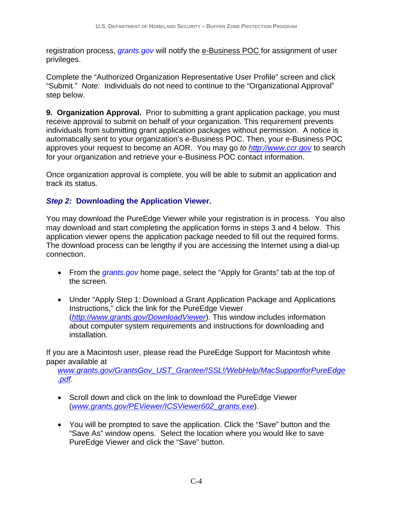registration process, *grants.gov* will notify the e-Business POC for assignment of user privileges.

 "Submit." *Note:* Individuals do not need to continue to the "Organizational Approval" Complete the "Authorized Organization Representative User Profile" screen and click step below.

**9. Organization Approval.** Prior to submitting a grant application package, you must receive approval to submit on behalf of your organization. This requirement prevents individuals from submitting grant application packages without permission. A notice is automatically sent to your organization's e-Business POC. Then, your e-Business POC approves your request to become an AOR. You may go *to http://www.ccr.gov* to search for your organization and retrieve your e-Business POC contact information.

Once organization approval is complete, you will be able to submit an application and track its status.

#### *Step 2:* **Downloading the Application Viewer.**

 connection. You may download the PureEdge Viewer while your registration is in process. You also may download and start completing the application forms in steps 3 and 4 below. This application viewer opens the application package needed to fill out the required forms. The download process can be lengthy if you are accessing the Internet using a dial-up

- From the *grants.gov* home page, select the "Apply for Grants" tab at the top of the screen.
- installation. • Under "Apply Step 1: Download a Grant Application Package and Applications Instructions," click the link for the PureEdge Viewer (*http://www.grants.gov/DownloadViewer*). This window includes information about computer system requirements and instructions for downloading and

If you are a Macintosh user, please read the PureEdge Support for Macintosh white paper available at

*www.grants.gov/GrantsGov\_UST\_Grantee/!SSL!/WebHelp/MacSupportforPureEdge .pdf*.

- Scroll down and click on the link to download the PureEdge Viewer (*www.grants.gov/PEViewer/ICSViewer602\_grants.exe*).
- You will be prompted to save the application. Click the "Save" button and the "Save As" window opens. Select the location where you would like to save PureEdge Viewer and click the "Save" button.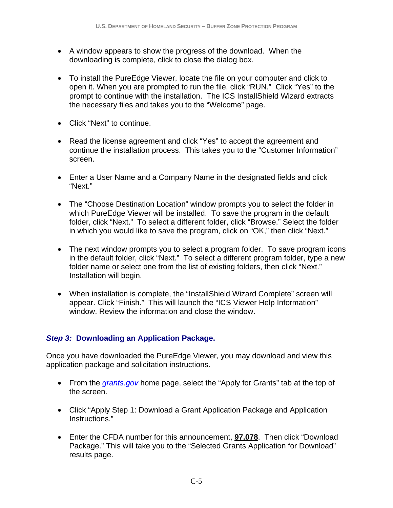- A window appears to show the progress of the download. When the downloading is complete, click to close the dialog box.
- To install the PureEdge Viewer, locate the file on your computer and click to open it. When you are prompted to run the file, click "RUN." Click "Yes" to the prompt to continue with the installation. The ICS InstallShield Wizard extracts the necessary files and takes you to the "Welcome" page.
- • Click "Next" to continue.
- Read the license agreement and click "Yes" to accept the agreement and continue the installation process. This takes you to the "Customer Information" screen.
- Enter a User Name and a Company Name in the designated fields and click "Next."
- The "Choose Destination Location" window prompts you to select the folder in which PureEdge Viewer will be installed. To save the program in the default folder, click "Next." To select a different folder, click "Browse." Select the folder in which you would like to save the program, click on "OK," then click "Next."
- The next window prompts you to select a program folder. To save program icons in the default folder, click "Next." To select a different program folder, type a new folder name or select one from the list of existing folders, then click "Next." Installation will begin.
- When installation is complete, the "InstallShield Wizard Complete" screen will appear. Click "Finish." This will launch the "ICS Viewer Help Information" window. Review the information and close the window.

#### *Step 3:* **Downloading an Application Package.**

Once you have downloaded the PureEdge Viewer, you may download and view this application package and solicitation instructions.

- From the *grants.gov* home page, select the "Apply for Grants" tab at the top of the screen.
- Click "Apply Step 1: Download a Grant Application Package and Application Instructions."
- Enter the CFDA number for this announcement, **97.078**. Then click "Download Package." This will take you to the "Selected Grants Application for Download" results page.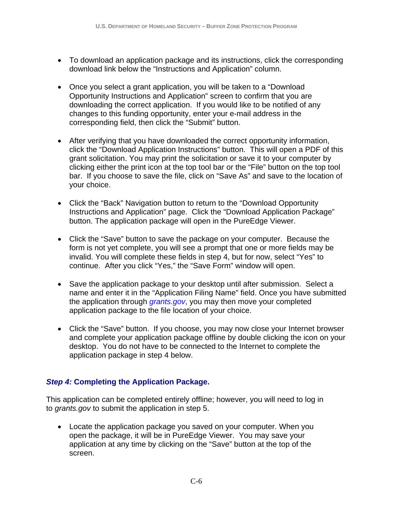- To download an application package and its instructions, click the corresponding download link below the "Instructions and Application" column.
- Once you select a grant application, you will be taken to a "Download" Opportunity Instructions and Application" screen to confirm that you are downloading the correct application. If you would like to be notified of any changes to this funding opportunity, enter your e-mail address in the corresponding field, then click the "Submit" button.
- After verifying that you have downloaded the correct opportunity information, click the "Download Application Instructions" button. This will open a PDF of this grant solicitation. You may print the solicitation or save it to your computer by clicking either the print icon at the top tool bar or the "File" button on the top tool bar. If you choose to save the file, click on "Save As" and save to the location of your choice.
- Click the "Back" Navigation button to return to the "Download Opportunity Instructions and Application" page. Click the "Download Application Package" button. The application package will open in the PureEdge Viewer.
- Click the "Save" button to save the package on your computer. Because the form is not yet complete, you will see a prompt that one or more fields may be invalid. You will complete these fields in step 4, but for now, select "Yes" to continue. After you click "Yes," the "Save Form" window will open.
- Save the application package to your desktop until after submission. Select a name and enter it in the "Application Filing Name" field. Once you have submitted the application through *grants.gov*, you may then move your completed application package to the file location of your choice.
- Click the "Save" button. If you choose, you may now close your Internet browser and complete your application package offline by double clicking the icon on your desktop. You do not have to be connected to the Internet to complete the application package in step 4 below.

#### *Step 4:* **Completing the Application Package.**

This application can be completed entirely offline; however, you will need to log in to *grants.gov* to submit the application in step 5.

• Locate the application package you saved on your computer. When you open the package, it will be in PureEdge Viewer. You may save your application at any time by clicking on the "Save" button at the top of the screen.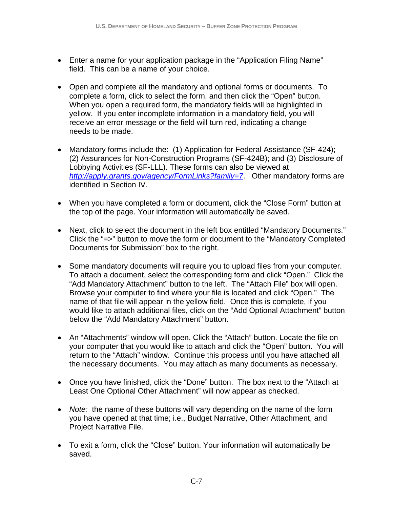- Enter a name for your application package in the "Application Filing Name" field. This can be a name of your choice.
- Open and complete all the mandatory and optional forms or documents. To complete a form, click to select the form, and then click the "Open" button. When you open a required form, the mandatory fields will be highlighted in yellow. If you enter incomplete information in a mandatory field, you will receive an error message or the field will turn red, indicating a change needs to be made.
- Mandatory forms include the: (1) Application for Federal Assistance (SF-424); (2) Assurances for Non-Construction Programs (SF-424B); and (3) Disclosure of Lobbying Activities (SF-LLL). These forms can also be viewed at *http://apply.grants.gov/agency/FormLinks?family=7*. Other mandatory forms are identified in Section IV.
- When you have completed a form or document, click the "Close Form" button at the top of the page. Your information will automatically be saved.
- Next, click to select the document in the left box entitled "Mandatory Documents." Click the "=>" button to move the form or document to the "Mandatory Completed Documents for Submission" box to the right.
- Some mandatory documents will require you to upload files from your computer. To attach a document, select the corresponding form and click "Open." Click the "Add Mandatory Attachment" button to the left. The "Attach File" box will open. Browse your computer to find where your file is located and click "Open." The name of that file will appear in the yellow field. Once this is complete, if you would like to attach additional files, click on the "Add Optional Attachment" button below the "Add Mandatory Attachment" button.
- An "Attachments" window will open. Click the "Attach" button. Locate the file on your computer that you would like to attach and click the "Open" button. You will return to the "Attach" window. Continue this process until you have attached all the necessary documents. You may attach as many documents as necessary.
- Least One Optional Other Attachment" will now appear as checked. • Once you have finished, click the "Done" button. The box next to the "Attach at
- Note: the name of these buttons will vary depending on the name of the form you have opened at that time; i.e., Budget Narrative, Other Attachment, and Project Narrative File.
- To exit a form, click the "Close" button. Your information will automatically be saved.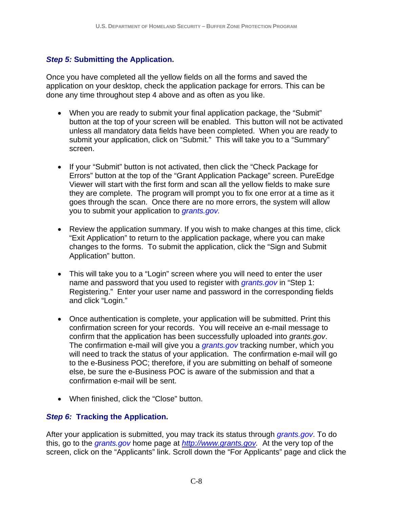#### *Step 5:* **Submitting the Application.**

Once you have completed all the yellow fields on all the forms and saved the application on your desktop, check the application package for errors. This can be done any time throughout step 4 above and as often as you like.

- When you are ready to submit your final application package, the "Submit" button at the top of your screen will be enabled. This button will not be activated unless all mandatory data fields have been completed. When you are ready to submit your application, click on "Submit." This will take you to a "Summary" screen.
- you to submit your application to *grants.gov.* • If your "Submit" button is not activated, then click the "Check Package for Errors" button at the top of the "Grant Application Package" screen. PureEdge Viewer will start with the first form and scan all the yellow fields to make sure they are complete. The program will prompt you to fix one error at a time as it goes through the scan. Once there are no more errors, the system will allow
- Review the application summary. If you wish to make changes at this time, click "Exit Application" to return to the application package, where you can make changes to the forms. To submit the application, click the "Sign and Submit Application" button.
- This will take you to a "Login" screen where you will need to enter the user name and password that you used to register with *grants.gov* in "Step 1: Registering." Enter your user name and password in the corresponding fields and click "Login."
- Once authentication is complete, your application will be submitted. Print this confirmation screen for your records. You will receive an e-mail message to confirm that the application has been successfully uploaded into *grants.gov*. The confirmation e-mail will give you a *grants.gov* tracking number, which you will need to track the status of your application. The confirmation e-mail will go to the e-Business POC; therefore, if you are submitting on behalf of someone else, be sure the e-Business POC is aware of the submission and that a confirmation e-mail will be sent.
- When finished, click the "Close" button.

#### *Step 6:* **Tracking the Application.**

After your application is submitted, you may track its status through *grants.gov*. To do this, go to the *grants.gov* home page at *http://www.grants.gov.* At the very top of the screen, click on the "Applicants" link. Scroll down the "For Applicants" page and click the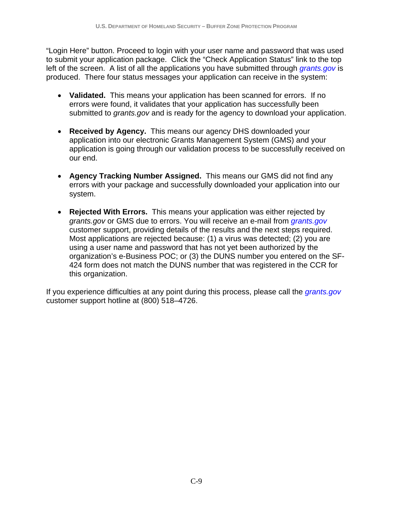"Login Here" button. Proceed to login with your user name and password that was used to submit your application package. Click the "Check Application Status" link to the top left of the screen. A list of all the applications you have submitted through *grants.gov* is produced. There four status messages your application can receive in the system:

- Validated. This means your application has been scanned for errors. If no errors were found, it validates that your application has successfully been submitted to *grants.gov* and is ready for the agency to download your application.
- **Received by Agency.** This means our agency DHS downloaded your application into our electronic Grants Management System (GMS) and your application is going through our validation process to be successfully received on our end.
- • **Agency Tracking Number Assigned.** This means our GMS did not find any errors with your package and successfully downloaded your application into our system.
- **Rejected With Errors.** This means your application was either rejected by *grants.gov* or GMS due to errors. You will receive an e-mail from *grants.gov*  customer support, providing details of the results and the next steps required. Most applications are rejected because: (1) a virus was detected; (2) you are using a user name and password that has not yet been authorized by the organization's e-Business POC; or (3) the DUNS number you entered on the SF-424 form does not match the DUNS number that was registered in the CCR for this organization.

If you experience difficulties at any point during this process, please call the *grants.gov*  customer support hotline at (800) 518–4726.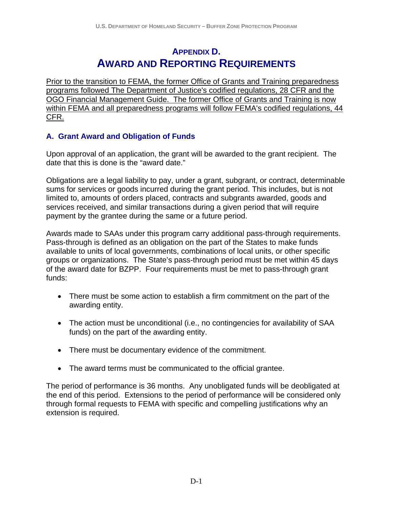## **APPENDIX D. AWARD AND REPORTING REQUIREMENTS**

<span id="page-39-0"></span>Prior to the transition to FEMA, the former Office of Grants and Training preparedness programs followed The Department of Justice's codified regulations, 28 CFR and the OGO Financial Management Guide. The former Office of Grants and Training is now within FEMA and all preparedness programs will follow FEMA's codified regulations, 44 CFR.

#### **A. Grant Award and Obligation of Funds**

Upon approval of an application, the grant will be awarded to the grant recipient. The date that this is done is the "award date."

Obligations are a legal liability to pay, under a grant, subgrant, or contract, determinable sums for services or goods incurred during the grant period. This includes, but is not limited to, amounts of orders placed, contracts and subgrants awarded, goods and services received, and similar transactions during a given period that will require payment by the grantee during the same or a future period.

Awards made to SAAs under this program carry additional pass-through requirements. Pass-through is defined as an obligation on the part of the States to make funds available to units of local governments, combinations of local units, or other specific groups or organizations. The State's pass-through period must be met within 45 days of the award date for BZPP. Four requirements must be met to pass-through grant funds:

- There must be some action to establish a firm commitment on the part of the awarding entity.
- The action must be unconditional (i.e., no contingencies for availability of SAA funds) on the part of the awarding entity.
- There must be documentary evidence of the commitment.
- The award terms must be communicated to the official grantee.

The period of performance is 36 months. Any unobligated funds will be deobligated at the end of this period. Extensions to the period of performance will be considered only through formal requests to FEMA with specific and compelling justifications why an extension is required.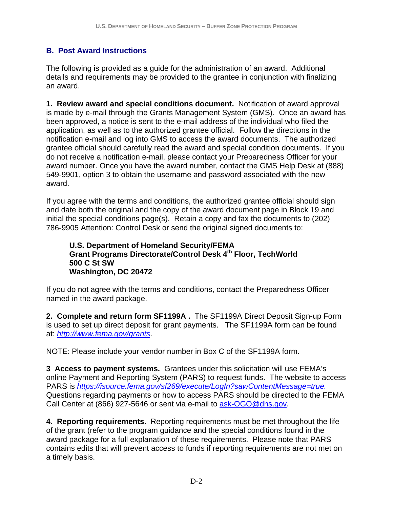#### **B. Post Award Instructions**

The following is provided as a guide for the administration of an award. Additional details and requirements may be provided to the grantee in conjunction with finalizing an award.

 application, as well as to the authorized grantee official. Follow the directions in the **1. Review award and special conditions document.** Notification of award approval is made by e-mail through the Grants Management System (GMS). Once an award has been approved, a notice is sent to the e-mail address of the individual who filed the notification e-mail and log into GMS to access the award documents. The authorized grantee official should carefully read the award and special condition documents. If you do not receive a notification e-mail, please contact your Preparedness Officer for your award number. Once you have the award number, contact the GMS Help Desk at (888) 549-9901, option 3 to obtain the username and password associated with the new award.

If you agree with the terms and conditions, the authorized grantee official should sign and date both the original and the copy of the award document page in Block 19 and initial the special conditions page(s). Retain a copy and fax the documents to (202) 786-9905 Attention: Control Desk or send the original signed documents to:

#### **U.S. Department of Homeland Security/FEMA Grant Programs Directorate/Control Desk 4th Floor, TechWorld 500 C St SW Washington, DC 20472**

If you do not agree with the terms and conditions, contact the Preparedness Officer named in the award package.

**2. Complete and return form SF1199A .** The SF1199A Direct Deposit Sign-up Form is used to set up direct deposit for grant payments. The SF1199A form can be found at: *http://www.fema.gov/grants*.

NOTE: Please include your vendor number in Box C of the SF1199A form.

 PARS is *https://isource.fema.gov/sf269/execute/LogIn?sawContentMessage=true.* **3 Access to payment systems.** Grantees under this solicitation will use FEMA's online Payment and Reporting System (PARS) to request funds. The website to access Questions regarding payments or how to access PARS should be directed to the FEMA Call Center at (866) 927-5646 or sent via e-mail to ask-OGO@dhs.gov.

**4. Reporting requirements.** Reporting requirements must be met throughout the life of the grant (refer to the program guidance and the special conditions found in the award package for a full explanation of these requirements. Please note that PARS contains edits that will prevent access to funds if reporting requirements are not met on a timely basis.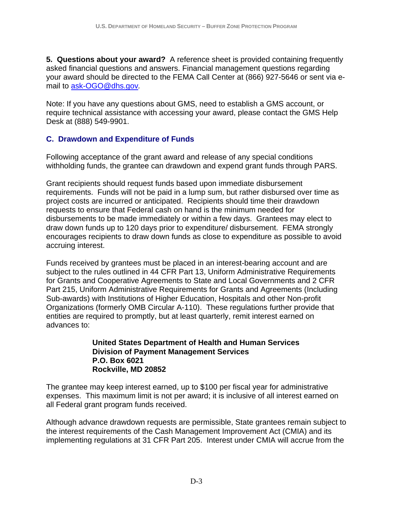**5. Questions about your award?** A reference sheet is provided containing frequently asked financial questions and answers. Financial management questions regarding your award should be directed to the FEMA Call Center at (866) 927-5646 or sent via email to ask-OGO@dhs.gov*.* 

Note: If you have any questions about GMS, need to establish a GMS account, or require technical assistance with accessing your award, please contact the GMS Help Desk at (888) 549-9901.

#### **C. Drawdown and Expenditure of Funds**

Following acceptance of the grant award and release of any special conditions withholding funds, the grantee can drawdown and expend grant funds through PARS.

Grant recipients should request funds based upon immediate disbursement requirements. Funds will not be paid in a lump sum, but rather disbursed over time as project costs are incurred or anticipated. Recipients should time their drawdown requests to ensure that Federal cash on hand is the minimum needed for disbursements to be made immediately or within a few days. Grantees may elect to draw down funds up to 120 days prior to expenditure/ disbursement. FEMA strongly encourages recipients to draw down funds as close to expenditure as possible to avoid accruing interest.

 Organizations (formerly OMB Circular A-110). These regulations further provide that Funds received by grantees must be placed in an interest-bearing account and are subject to the rules outlined in 44 CFR Part 13, Uniform Administrative Requirements for Grants and Cooperative Agreements to State and Local Governments and 2 CFR Part 215, Uniform Administrative Requirements for Grants and Agreements (Including Sub-awards) with Institutions of Higher Education, Hospitals and other Non-profit entities are required to promptly, but at least quarterly, remit interest earned on advances to:

#### **Rockville, MD 20852 United States Department of Health and Human Services Division of Payment Management Services P.O. Box 6021**

The grantee may keep interest earned, up to \$100 per fiscal year for administrative expenses. This maximum limit is not per award; it is inclusive of all interest earned on all Federal grant program funds received.

Although advance drawdown requests are permissible, State grantees remain subject to the interest requirements of the Cash Management Improvement Act (CMIA) and its implementing regulations at 31 CFR Part 205. Interest under CMIA will accrue from the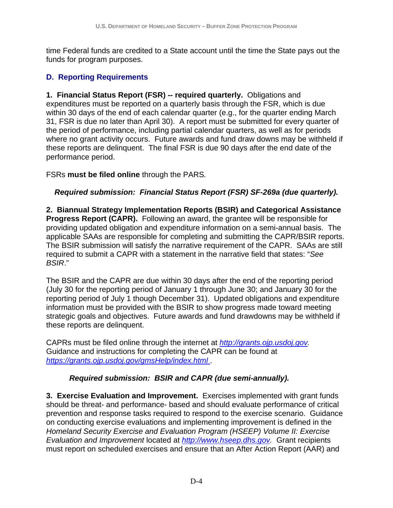time Federal funds are credited to a State account until the time the State pays out the funds for program purposes.

#### **D. Reporting Requirements**

**1. Financial Status Report (FSR) -- required quarterly.** Obligations and expenditures must be reported on a quarterly basis through the FSR, which is due within 30 days of the end of each calendar quarter (e.g., for the quarter ending March 31, FSR is due no later than April 30). A report must be submitted for every quarter of the period of performance, including partial calendar quarters, as well as for periods where no grant activity occurs. Future awards and fund draw downs may be withheld if these reports are delinquent. The final FSR is due 90 days after the end date of the performance period.

FSRs **must be filed online** through the PARS*.* 

#### *Required submission: Financial Status Report (FSR) SF-269a (due quarterly).*

**2. Biannual Strategy Implementation Reports (BSIR) and Categorical Assistance Progress Report (CAPR).** Following an award, the grantee will be responsible for providing updated obligation and expenditure information on a semi-annual basis. The applicable SAAs are responsible for completing and submitting the CAPR/BSIR reports. The BSIR submission will satisfy the narrative requirement of the CAPR. SAAs are still required to submit a CAPR with a statement in the narrative field that states: "*See BSIR*."

The BSIR and the CAPR are due within 30 days after the end of the reporting period (July 30 for the reporting period of January 1 through June 30; and January 30 for the reporting period of July 1 though December 31). Updated obligations and expenditure information must be provided with the BSIR to show progress made toward meeting strategic goals and objectives. Future awards and fund drawdowns may be withheld if these reports are delinquent.

 CAPRs must be filed online through the internet at *http://grants.ojp.usdoj.gov.* Guidance and instructions for completing the CAPR can be found at *https://grants.ojp.usdoj.gov/gmsHelp/index.html* .

#### *Required submission: BSIR and CAPR (due semi-annually).*

**3. Exercise Evaluation and Improvement.** Exercises implemented with grant funds should be threat- and performance- based and should evaluate performance of critical prevention and response tasks required to respond to the exercise scenario. Guidance on conducting exercise evaluations and implementing improvement is defined in the *Homeland Security Exercise and Evaluation Program (HSEEP) Volume II: Exercise Evaluation and Improvement* located at *http://www.hseep.dhs.gov.* Grant recipients must report on scheduled exercises and ensure that an After Action Report (AAR) and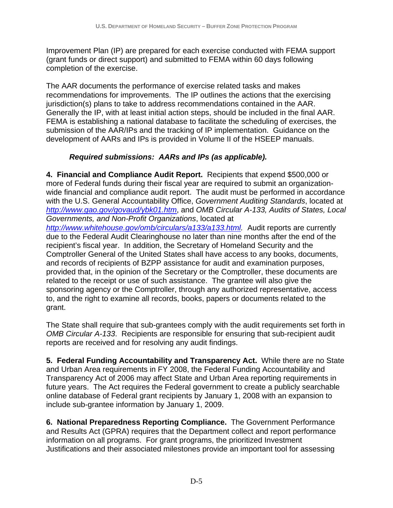Improvement Plan (IP) are prepared for each exercise conducted with FEMA support (grant funds or direct support) and submitted to FEMA within 60 days following completion of the exercise.

The AAR documents the performance of exercise related tasks and makes recommendations for improvements. The IP outlines the actions that the exercising jurisdiction(s) plans to take to address recommendations contained in the AAR. Generally the IP, with at least initial action steps, should be included in the final AAR. FEMA is establishing a national database to facilitate the scheduling of exercises, the submission of the AAR/IPs and the tracking of IP implementation. Guidance on the development of AARs and IPs is provided in Volume II of the HSEEP manuals.

#### *Required submissions: AARs and IPs (as applicable).*

**4. Financial and Compliance Audit Report.** Recipients that expend \$500,000 or more of Federal funds during their fiscal year are required to submit an organizationwide financial and compliance audit report. The audit must be performed in accordance with the U.S. General Accountability Office, *Government Auditing Standards*, located at *http://www.gao.gov/govaud/ybk01.htm*, and *OMB Circular A-133, Audits of States, Local Governments, and Non-Profit Organizations*, located at

*http://www.whitehouse.gov/omb/circulars/a133/a133.html.* Audit reports are currently due to the Federal Audit Clearinghouse no later than nine months after the end of the recipient's fiscal year. In addition, the Secretary of Homeland Security and the Comptroller General of the United States shall have access to any books, documents, and records of recipients of BZPP assistance for audit and examination purposes, provided that, in the opinion of the Secretary or the Comptroller, these documents are related to the receipt or use of such assistance. The grantee will also give the sponsoring agency or the Comptroller, through any authorized representative, access to, and the right to examine all records, books, papers or documents related to the grant.

The State shall require that sub-grantees comply with the audit requirements set forth in *OMB Circular A-133*. Recipients are responsible for ensuring that sub-recipient audit reports are received and for resolving any audit findings.

**5. Federal Funding Accountability and Transparency Act.** While there are no State and Urban Area requirements in FY 2008, the Federal Funding Accountability and Transparency Act of 2006 may affect State and Urban Area reporting requirements in future years. The Act requires the Federal government to create a publicly searchable online database of Federal grant recipients by January 1, 2008 with an expansion to include sub-grantee information by January 1, 2009.

**6. National Preparedness Reporting Compliance.** The Government Performance and Results Act (GPRA) requires that the Department collect and report performance information on all programs. For grant programs, the prioritized Investment Justifications and their associated milestones provide an important tool for assessing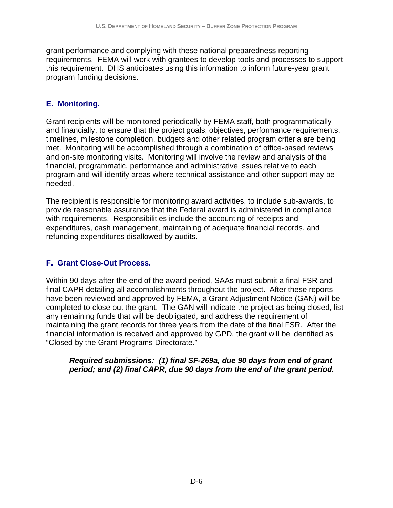grant performance and complying with these national preparedness reporting requirements. FEMA will work with grantees to develop tools and processes to support this requirement. DHS anticipates using this information to inform future-year grant program funding decisions.

#### **E. Monitoring.**

Grant recipients will be monitored periodically by FEMA staff, both programmatically and financially, to ensure that the project goals, objectives, performance requirements, timelines, milestone completion, budgets and other related program criteria are being met. Monitoring will be accomplished through a combination of office-based reviews and on-site monitoring visits. Monitoring will involve the review and analysis of the financial, programmatic, performance and administrative issues relative to each program and will identify areas where technical assistance and other support may be needed.

The recipient is responsible for monitoring award activities, to include sub-awards, to provide reasonable assurance that the Federal award is administered in compliance with requirements. Responsibilities include the accounting of receipts and expenditures, cash management, maintaining of adequate financial records, and refunding expenditures disallowed by audits.

#### **F. Grant Close-Out Process.**

Within 90 days after the end of the award period, SAAs must submit a final FSR and final CAPR detailing all accomplishments throughout the project. After these reports have been reviewed and approved by FEMA, a Grant Adjustment Notice (GAN) will be completed to close out the grant. The GAN will indicate the project as being closed, list any remaining funds that will be deobligated, and address the requirement of maintaining the grant records for three years from the date of the final FSR. After the financial information is received and approved by GPD, the grant will be identified as "Closed by the Grant Programs Directorate."

#### *Required submissions: (1) final SF-269a, due 90 days from end of grant period; and (2) final CAPR, due 90 days from the end of the grant period.*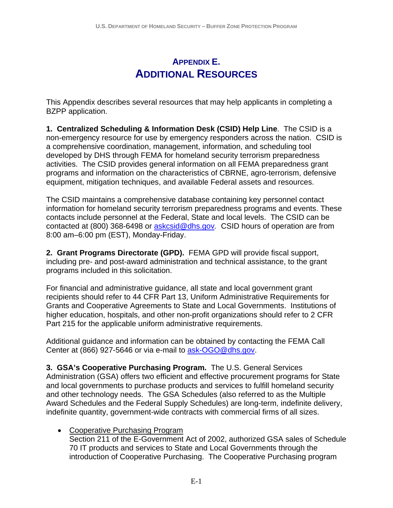## **APPENDIX E. ADDITIONAL RESOURCES**

<span id="page-45-0"></span>This Appendix describes several resources that may help applicants in completing a BZPP application.

**1. Centralized Scheduling & Information Desk (CSID) Help Line**. The CSID is a non-emergency resource for use by emergency responders across the nation. CSID is a comprehensive coordination, management, information, and scheduling tool developed by DHS through FEMA for homeland security terrorism preparedness activities. The CSID provides general information on all FEMA preparedness grant programs and information on the characteristics of CBRNE, agro-terrorism, defensive equipment, mitigation techniques, and available Federal assets and resources.

The CSID maintains a comprehensive database containing key personnel contact information for homeland security terrorism preparedness programs and events. These contacts include personnel at the Federal, State and local levels. The CSID can be contacted at (800) 368-6498 or askcsid@dhs.gov*.* CSID hours of operation are from 8:00 am–6:00 pm (EST), Monday-Friday.

**2. Grant Programs Directorate (GPD).** FEMA GPD will provide fiscal support, including pre- and post-award administration and technical assistance, to the grant programs included in this solicitation.

For financial and administrative guidance, all state and local government grant recipients should refer to 44 CFR Part 13, Uniform Administrative Requirements for Grants and Cooperative Agreements to State and Local Governments. Institutions of higher education, hospitals, and other non-profit organizations should refer to 2 CFR Part 215 for the applicable uniform administrative requirements.

Additional guidance and information can be obtained by contacting the FEMA Call Center at (866) 927-5646 or via e-mail to ask-OGO@dhs.gov.

**3. GSA's Cooperative Purchasing Program.** The U.S. General Services Administration (GSA) offers two efficient and effective procurement programs for State and local governments to purchase products and services to fulfill homeland security and other technology needs. The GSA Schedules (also referred to as the Multiple Award Schedules and the Federal Supply Schedules) are long-term, indefinite delivery, indefinite quantity, government-wide contracts with commercial firms of all sizes.

• Cooperative Purchasing Program

Section 211 of the E-Government Act of 2002, authorized GSA sales of Schedule 70 IT products and services to State and Local Governments through the introduction of Cooperative Purchasing. The Cooperative Purchasing program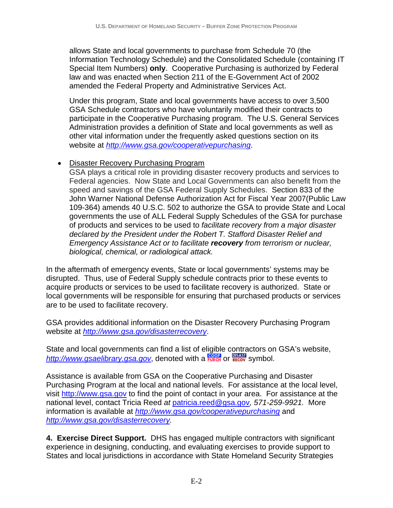allows State and local governments to purchase from Schedule 70 (the Information Technology Schedule) and the Consolidated Schedule (containing IT Special Item Numbers) **only**. Cooperative Purchasing is authorized by Federal law and was enacted when Section 211 of the E-Government Act of 2002 amended the Federal Property and Administrative Services Act.

Under this program, State and local governments have access to over 3,500 GSA Schedule contractors who have voluntarily modified their contracts to participate in the Cooperative Purchasing program. The U.S. General Services Administration provides a definition of State and local governments as well as other vital information under the frequently asked questions section on its website at *http://www.gsa.gov/cooperativepurchasing*.

#### • Disaster Recovery Purchasing Program

GSA plays a critical role in providing disaster recovery products and services to Federal agencies. Now State and Local Governments can also benefit from the speed and savings of the GSA Federal Supply Schedules. Section 833 of the John Warner National Defense Authorization Act for Fiscal Year 2007(Public Law 109-364) amends 40 U.S.C. 502 to authorize the GSA to provide State and Local governments the use of ALL Federal Supply Schedules of the GSA for purchase of products and services to be used to *facilitate recovery from a major disaster declared by the President under the Robert T. Stafford Disaster Relief and Emergency Assistance Act or to facilitate recovery from terrorism or nuclear, biological, chemical, or radiological attack.* 

In the aftermath of emergency events, State or local governments' systems may be disrupted. Thus, use of Federal Supply schedule contracts prior to these events to acquire products or services to be used to facilitate recovery is authorized. State or local governments will be responsible for ensuring that purchased products or services are to be used to facilitate recovery.

GSA provides additional information on the Disaster Recovery Purchasing Program website at *http://www.gsa.gov/disasterrecovery*.

State and local governments can find a list of eligible contractors on GSA's website, http://www.gsaelibrary.gsa.gov, denoted with a **runch** or **RECOV** symbol.

Assistance is available from GSA on the Cooperative Purchasing and Disaster Purchasing Program at the local and national levels. For assistance at the local level, visit http://www.gsa.gov to find the point of contact in your area. For assistance at the national level, contact Tricia Reed *at* patricia.reed@gsa.gov*, 571-259-9921.* More information is available at *http://www.gsa.gov/cooperativepurchasing* and *http://www.gsa.gov/disasterrecovery.* 

**4. Exercise Direct Support.** DHS has engaged multiple contractors with significant experience in designing, conducting, and evaluating exercises to provide support to States and local jurisdictions in accordance with State Homeland Security Strategies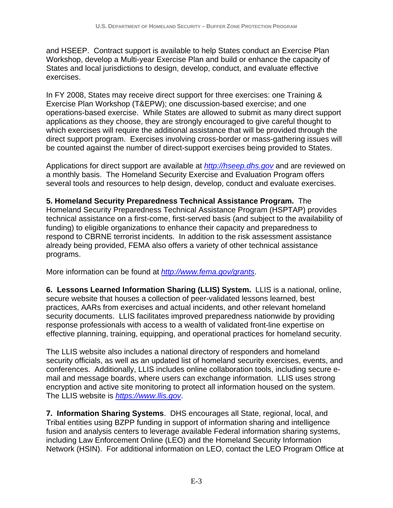and HSEEP. Contract support is available to help States conduct an Exercise Plan Workshop, develop a Multi-year Exercise Plan and build or enhance the capacity of States and local jurisdictions to design, develop, conduct, and evaluate effective exercises.

In FY 2008, States may receive direct support for three exercises: one Training & Exercise Plan Workshop (T&EPW); one discussion-based exercise; and one operations-based exercise. While States are allowed to submit as many direct support applications as they choose, they are strongly encouraged to give careful thought to which exercises will require the additional assistance that will be provided through the direct support program. Exercises involving cross-border or mass-gathering issues will be counted against the number of direct-support exercises being provided to States.

Applications for direct support are available at *http://hseep.dhs.gov* and are reviewed on a monthly basis. The Homeland Security Exercise and Evaluation Program offers several tools and resources to help design, develop, conduct and evaluate exercises.

**5. Homeland Security Preparedness Technical Assistance Program.** The Homeland Security Preparedness Technical Assistance Program (HSPTAP) provides technical assistance on a first-come, first-served basis (and subject to the availability of funding) to eligible organizations to enhance their capacity and preparedness to respond to CBRNE terrorist incidents. In addition to the risk assessment assistance already being provided, FEMA also offers a variety of other technical assistance programs.

More information can be found at *http://www.fema.gov/grants*.

**6. Lessons Learned Information Sharing (LLIS) System.** LLIS is a national, online, secure website that houses a collection of peer-validated lessons learned, best practices, AARs from exercises and actual incidents, and other relevant homeland security documents. LLIS facilitates improved preparedness nationwide by providing response professionals with access to a wealth of validated front-line expertise on effective planning, training, equipping, and operational practices for homeland security.

The LLIS website also includes a national directory of responders and homeland security officials, as well as an updated list of homeland security exercises, events, and conferences. Additionally, LLIS includes online collaboration tools, including secure email and message boards, where users can exchange information. LLIS uses strong encryption and active site monitoring to protect all information housed on the system. The LLIS website is *https://www.llis.gov*.

**7. Information Sharing Systems**. DHS encourages all State, regional, local, and Tribal entities using BZPP funding in support of information sharing and intelligence fusion and analysis centers to leverage available Federal information sharing systems, including Law Enforcement Online (LEO) and the Homeland Security Information Network (HSIN). For additional information on LEO, contact the LEO Program Office at